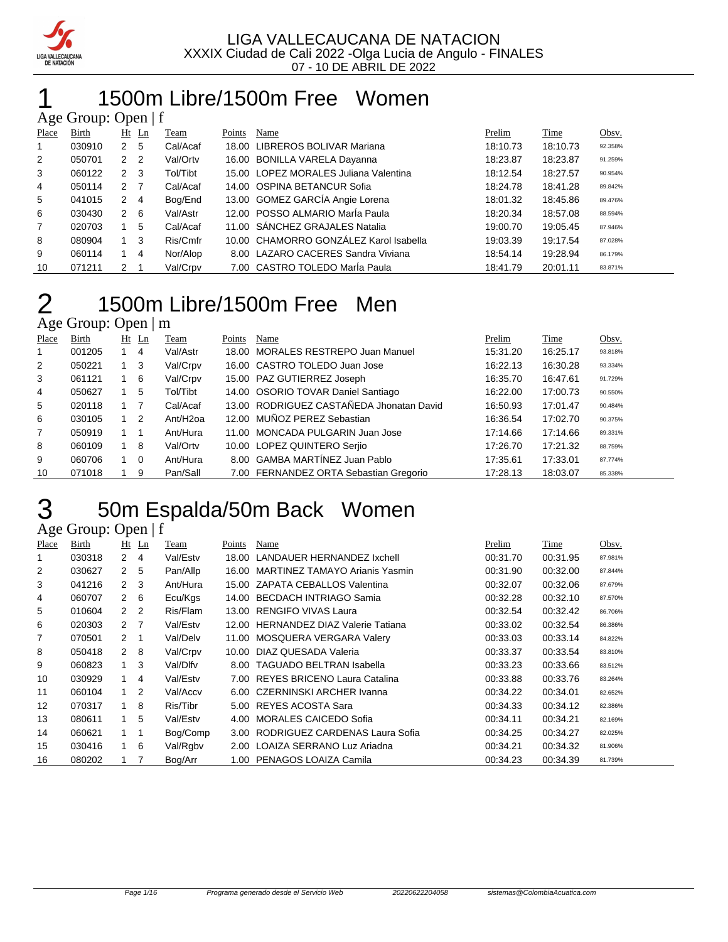

# 1 1500m Libre/1500m Free Women

| Age Group: Open $ f $ |        |                |                |          |        |                                        |          |          |         |  |  |
|-----------------------|--------|----------------|----------------|----------|--------|----------------------------------------|----------|----------|---------|--|--|
| Place                 | Birth  | Ht             | $\mathbf{L}$ n | Team     | Points | Name                                   | Prelim   | Time     | Obsv.   |  |  |
| 1                     | 030910 | 2              | -5             | Cal/Acaf |        | 18.00 LIBREROS BOLIVAR Mariana         | 18:10.73 | 18:10.73 | 92.358% |  |  |
| 2                     | 050701 | 2 <sub>2</sub> |                | Val/Ortv |        | 16.00 BONILLA VARELA Dayanna           | 18:23.87 | 18:23.87 | 91.259% |  |  |
| 3                     | 060122 | $\overline{2}$ | -3             | Tol/Tibt |        | 15.00 LOPEZ MORALES Juliana Valentina  | 18:12.54 | 18:27.57 | 90.954% |  |  |
| 4                     | 050114 | 2 <sub>7</sub> |                | Cal/Acaf |        | 14.00 OSPINA BETANCUR Sofia            | 18:24.78 | 18:41.28 | 89.842% |  |  |
| 5                     | 041015 | $\overline{2}$ | $\overline{4}$ | Bog/End  |        | 13.00 GOMEZ GARCÍA Angie Lorena        | 18:01.32 | 18:45.86 | 89.476% |  |  |
| 6                     | 030430 | $\overline{2}$ | 6              | Val/Astr |        | 12.00 POSSO ALMARIO María Paula        | 18:20.34 | 18:57.08 | 88.594% |  |  |
| $\overline{7}$        | 020703 |                | 5              | Cal/Acaf |        | 11.00 SÁNCHEZ GRAJALES Natalia         | 19:00.70 | 19:05.45 | 87.946% |  |  |
| 8                     | 080904 |                | -3             | Ris/Cmfr |        | 10.00 CHAMORRO GONZÁLEZ Karol Isabella | 19:03.39 | 19:17.54 | 87.028% |  |  |
| 9                     | 060114 |                | $\overline{4}$ | Nor/Alop |        | 8.00 LAZARO CACERES Sandra Viviana     | 18:54.14 | 19:28.94 | 86.179% |  |  |
| 10                    | 071211 | 2              |                | Val/Crpv |        | 7.00 CASTRO TOLEDO Maria Paula         | 18:41.79 | 20:01.11 | 83.871% |  |  |

### 1500m Libre/1500m Free Men  $2 \n\text{Age Group: Open } | m$

| Place          | Birth  |             | $Ht$ Ln        | Team                 | Points | Name                                     | Prelim   | Time     | Obsv.   |
|----------------|--------|-------------|----------------|----------------------|--------|------------------------------------------|----------|----------|---------|
|                | 001205 |             | 4              | Val/Astr             |        | 18.00 MORALES RESTREPO Juan Manuel       | 15:31.20 | 16:25.17 | 93.818% |
| 2              | 050221 |             | -3             | Val/Crpv             |        | 16.00 CASTRO TOLEDO Juan Jose            | 16:22.13 | 16:30.28 | 93.334% |
| 3              | 061121 |             | - 6            | Val/Crpv             |        | 15.00 PAZ GUTIERREZ Joseph               | 16:35.70 | 16:47.61 | 91.729% |
| 4              | 050627 |             | 5              | Tol/Tibt             |        | 14.00 OSORIO TOVAR Daniel Santiago       | 16:22.00 | 17:00.73 | 90.550% |
| 5              | 020118 |             |                | Cal/Acaf             |        | 13.00 RODRIGUEZ CASTAÑEDA Jhonatan David | 16:50.93 | 17:01.47 | 90.484% |
| 6              | 030105 |             | $\overline{2}$ | Ant/H <sub>2oa</sub> |        | 12.00 MUÑOZ PEREZ Sebastian              | 16:36.54 | 17:02.70 | 90.375% |
| $\overline{7}$ | 050919 |             |                | Ant/Hura             |        | 11.00 MONCADA PULGARIN Juan Jose         | 17:14.66 | 17:14.66 | 89.331% |
| 8              | 060109 |             | 8              | Val/Ortv             |        | 10.00 LOPEZ QUINTERO Seriio              | 17:26.70 | 17:21.32 | 88.759% |
| 9              | 060706 | $1 \quad 0$ |                | Ant/Hura             |        | 8.00 GAMBA MARTÍNEZ Juan Pablo           | 17:35.61 | 17:33.01 | 87.774% |
| 10             | 071018 |             | 9              | Pan/Sall             |        | 7.00 FERNANDEZ ORTA Sebastian Gregorio   | 17:28.13 | 18:03.07 | 85.338% |

# 50m Espalda/50m Back Women

|                | Age Group: Open $ f $ |                |         |          |        |                                       |          |          |         |  |  |  |
|----------------|-----------------------|----------------|---------|----------|--------|---------------------------------------|----------|----------|---------|--|--|--|
| Place          | Birth                 |                | $Ht$ Ln | Team     | Points | Name                                  | Prelim   | Time     | Obsv.   |  |  |  |
| 1              | 030318                | $\overline{2}$ | 4       | Val/Estv | 18.00  | LANDAUER HERNANDEZ Ixchell            | 00:31.70 | 00:31.95 | 87.981% |  |  |  |
| 2              | 030627                | $\overline{2}$ | 5       | Pan/Allp | 16.00  | <b>MARTINEZ TAMAYO Arianis Yasmin</b> | 00:31.90 | 00:32.00 | 87.844% |  |  |  |
| 3              | 041216                | 2              | -3      | Ant/Hura |        | 15.00 ZAPATA CEBALLOS Valentina       | 00:32.07 | 00:32.06 | 87.679% |  |  |  |
| 4              | 060707                | $\mathbf{2}$   | 6       | Ecu/Kgs  |        | 14.00 BECDACH INTRIAGO Samia          | 00:32.28 | 00:32.10 | 87.570% |  |  |  |
| 5              | 010604                | 2              | - 2     | Ris/Flam |        | 13.00 RENGIFO VIVAS Laura             | 00:32.54 | 00:32.42 | 86.706% |  |  |  |
| 6              | 020303                | 2 <sub>7</sub> |         | Val/Estv |        | 12.00 HERNANDEZ DIAZ Valerie Tatiana  | 00:33.02 | 00:32.54 | 86.386% |  |  |  |
| $\overline{7}$ | 070501                | $\mathcal{P}$  | -1      | Val/Delv |        | 11.00 MOSQUERA VERGARA Valery         | 00:33.03 | 00:33.14 | 84.822% |  |  |  |
| 8              | 050418                | $2 \quad 8$    |         | Val/Crpv |        | 10.00 DIAZ QUESADA Valeria            | 00:33.37 | 00:33.54 | 83.810% |  |  |  |
| 9              | 060823                | $\overline{1}$ | 3       | Val/Dlfv | 8.00   | <b>TAGUADO BELTRAN Isabella</b>       | 00:33.23 | 00:33.66 | 83.512% |  |  |  |
| 10             | 030929                | $\mathbf{1}$   | 4       | Val/Estv | 7.00   | REYES BRICENO Laura Catalina          | 00:33.88 | 00:33.76 | 83.264% |  |  |  |
| 11             | 060104                | $\overline{1}$ | 2       | Val/Accv | 6.00   | CZERNINSKI ARCHER Ivanna              | 00:34.22 | 00:34.01 | 82.652% |  |  |  |
| 12             | 070317                |                | 8       | Ris/Tibr | 5.00   | REYES ACOSTA Sara                     | 00:34.33 | 00:34.12 | 82.386% |  |  |  |
| 13             | 080611                | 1.             | 5       | Val/Estv | 4.00   | <b>MORALES CAICEDO Sofia</b>          | 00:34.11 | 00:34.21 | 82.169% |  |  |  |
| 14             | 060621                |                | -1      | Bog/Comp |        | 3.00 RODRIGUEZ CARDENAS Laura Sofia   | 00:34.25 | 00:34.27 | 82.025% |  |  |  |
| 15             | 030416                |                | - 6     | Val/Rgbv | 2.00   | LOAIZA SERRANO Luz Ariadna            | 00:34.21 | 00:34.32 | 81.906% |  |  |  |
| 16             | 080202                |                | 7       | Bog/Arr  |        | 1.00 PENAGOS LOAIZA Camila            | 00:34.23 | 00:34.39 | 81.739% |  |  |  |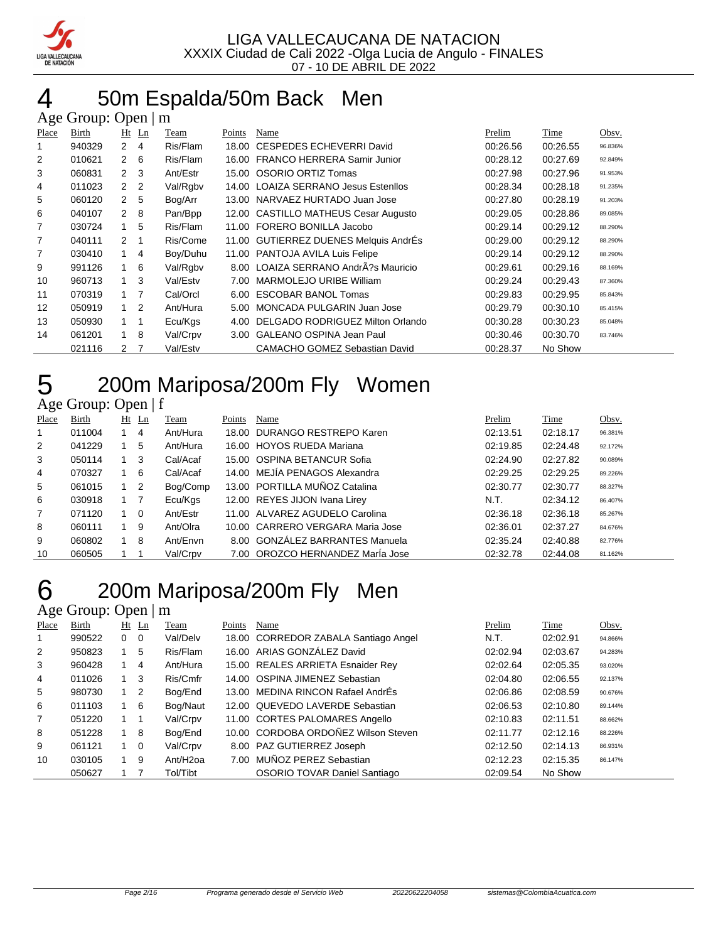

#### 50m Espalda/50m Back Men  $\Delta$ ge Group: Open  $\mathsf{m}$

|       | $\Delta$ gu Oroup. Open $\parallel$<br>-111 |                |    |          |        |                                       |          |          |         |  |  |
|-------|---------------------------------------------|----------------|----|----------|--------|---------------------------------------|----------|----------|---------|--|--|
| Place | Birth                                       | Ht Ln          |    | Team     | Points | Name                                  | Prelim   | Time     | Obsv.   |  |  |
| 1     | 940329                                      | $\overline{2}$ | 4  | Ris/Flam | 18.00  | <b>CESPEDES ECHEVERRI David</b>       | 00:26.56 | 00:26.55 | 96.836% |  |  |
| 2     | 010621                                      | 2              | 6  | Ris/Flam | 16.00  | <b>FRANCO HERRERA Samir Junior</b>    | 00:28.12 | 00:27.69 | 92.849% |  |  |
| 3     | 060831                                      | $2 \quad 3$    |    | Ant/Estr |        | 15.00 OSORIO ORTIZ Tomas              | 00:27.98 | 00:27.96 | 91.953% |  |  |
| 4     | 011023                                      | 2 <sub>2</sub> |    | Val/Rgbv |        | 14.00 LOAIZA SERRANO Jesus Estenllos  | 00:28.34 | 00:28.18 | 91.235% |  |  |
| 5     | 060120                                      | $\mathbf{2}$   | 5  | Bog/Arr  |        | 13.00 NARVAEZ HURTADO Juan Jose       | 00:27.80 | 00:28.19 | 91.203% |  |  |
| 6     | 040107                                      | $\mathbf{2}$   | -8 | Pan/Bpp  |        | 12.00 CASTILLO MATHEUS Cesar Augusto  | 00:29.05 | 00:28.86 | 89.085% |  |  |
| 7     | 030724                                      | 1              | 5  | Ris/Flam |        | 11.00 FORERO BONILLA Jacobo           | 00:29.14 | 00:29.12 | 88.290% |  |  |
| 7     | 040111                                      | 2              | 1  | Ris/Come |        | 11.00 GUTIERREZ DUENES Melquis AndrEs | 00:29.00 | 00:29.12 | 88.290% |  |  |
| 7     | 030410                                      |                | 4  | Boy/Duhu | 11.00  | PANTOJA AVILA Luis Felipe             | 00:29.14 | 00:29.12 | 88.290% |  |  |
| 9     | 991126                                      | 1              | 6  | Val/Rgbv |        | 8.00 LOAIZA SERRANO AndrÂ?s Mauricio  | 00:29.61 | 00:29.16 | 88.169% |  |  |
| 10    | 960713                                      | 1              | 3  | Val/Estv | 7.00   | MARMOLEJO URIBE William               | 00:29.24 | 00:29.43 | 87.360% |  |  |
| 11    | 070319                                      | $1 \quad$      | 7  | Cal/Orcl | 6.00   | ESCOBAR BANOL Tomas                   | 00:29.83 | 00:29.95 | 85.843% |  |  |
| 12    | 050919                                      | $1\quad 2$     |    | Ant/Hura | 5.00   | MONCADA PULGARIN Juan Jose            | 00:29.79 | 00:30.10 | 85.415% |  |  |
| 13    | 050930                                      | $1 \quad$      |    | Ecu/Kgs  | 4.00   | DELGADO RODRIGUEZ Milton Orlando      | 00:30.28 | 00:30.23 | 85.048% |  |  |
| 14    | 061201                                      | $\mathbf{1}$   | 8  | Val/Crpv | 3.00   | <b>GALEANO OSPINA Jean Paul</b>       | 00:30.46 | 00:30.70 | 83.746% |  |  |
|       | 021116                                      | 2              |    | Val/Estv |        | <b>CAMACHO GOMEZ Sebastian David</b>  | 00:28.37 | No Show  |         |  |  |

### 200m Mariposa/200m Fly Women

#### Age Group: Open | f

| Place | Birth  |   | $Ht$ Ln                    | Team     | Points | Name                             | Prelim   | Time     | Obsv.   |
|-------|--------|---|----------------------------|----------|--------|----------------------------------|----------|----------|---------|
|       | 011004 |   | 4                          | Ant/Hura |        | 18.00 DURANGO RESTREPO Karen     | 02:13.51 | 02:18.17 | 96.381% |
| 2     | 041229 |   | 5                          | Ant/Hura |        | 16.00 HOYOS RUEDA Mariana        | 02:19.85 | 02:24.48 | 92.172% |
| 3     | 050114 |   | 3                          | Cal/Acaf |        | 15.00 OSPINA BETANCUR Sofia      | 02:24.90 | 02:27.82 | 90.089% |
| 4     | 070327 |   | 6                          | Cal/Acaf |        | 14.00 MEJIA PENAGOS Alexandra    | 02:29.25 | 02:29.25 | 89.226% |
| 5     | 061015 |   | $\overline{\phantom{0}}^2$ | Bog/Comp |        | 13.00 PORTILLA MUÑOZ Catalina    | 02:30.77 | 02:30.77 | 88.327% |
| 6     | 030918 |   |                            | Ecu/Kgs  |        | 12.00 REYES JIJON Ivana Lirey    | N.T.     | 02:34.12 | 86.407% |
| 7     | 071120 | 1 | $\Omega$                   | Ant/Estr |        | 11.00 ALVAREZ AGUDELO Carolina   | 02:36.18 | 02:36.18 | 85.267% |
| 8     | 060111 |   | 9                          | Ant/Olra |        | 10.00 CARRERO VERGARA Maria Jose | 02:36.01 | 02:37.27 | 84.676% |
| 9     | 060802 |   | 8                          | Ant/Envn |        | 8.00 GONZÁLEZ BARRANTES Manuela  | 02:35.24 | 02:40.88 | 82.776% |
| 10    | 060505 |   |                            | Val/Crpv |        | 7.00 OROZCO HERNANDEZ Marla Jose | 02:32.78 | 02:44.08 | 81.162% |

# 200m Mariposa/200m Fly Men

#### Age Group: Open | m Place Birth Ht Ln Team Points Name Point Prelim Time Obsv. 990522 0 0 Val/Delv 18.00 CORREDOR ZABALA Santiago Angel N.T. 02:02.91 94.866% 950823 1 5 Ris/Flam 16.00 ARIAS GONZÁLEZ David 02:02.94 02:03.67 94.283% 960428 1 4 Ant/Hura 15.00 REALES ARRIETA Esnaider Rey 02:02.64 02:05.35 93.020% 011026 1 3 Ris/Cmfr 14.00 OSPINA JIMENEZ Sebastian 02:04.80 02:06.55 92.137% 5 980730 1 2 Bog/End 13.00 MEDINA RINCON Rafael AndrÉs 02:06.86 02:08.59 90.676% 011103 1 6 Bog/Naut 12.00 QUEVEDO LAVERDE Sebastian 02:06.53 02:10.80 89.144% 051220 1 1 Val/Crpv 11.00 CORTES PALOMARES Angello 02:10.83 02:11.51 88.662% 051228 1 8 Bog/End 10.00 CORDOBA ORDOÑEZ Wilson Steven 02:11.77 02:12.16 88.226% 061121 1 0 Val/Crpv 8.00 PAZ GUTIERREZ Joseph 02:12.50 02:14.13 86.931% 030105 1 9 Ant/H2oa 7.00 MUÑOZ PEREZ Sebastian 02:12.23 02:15.35 86.147% 1 7 Tol/Tibt OSORIO TOVAR Daniel Santiago 02:09.54 No Show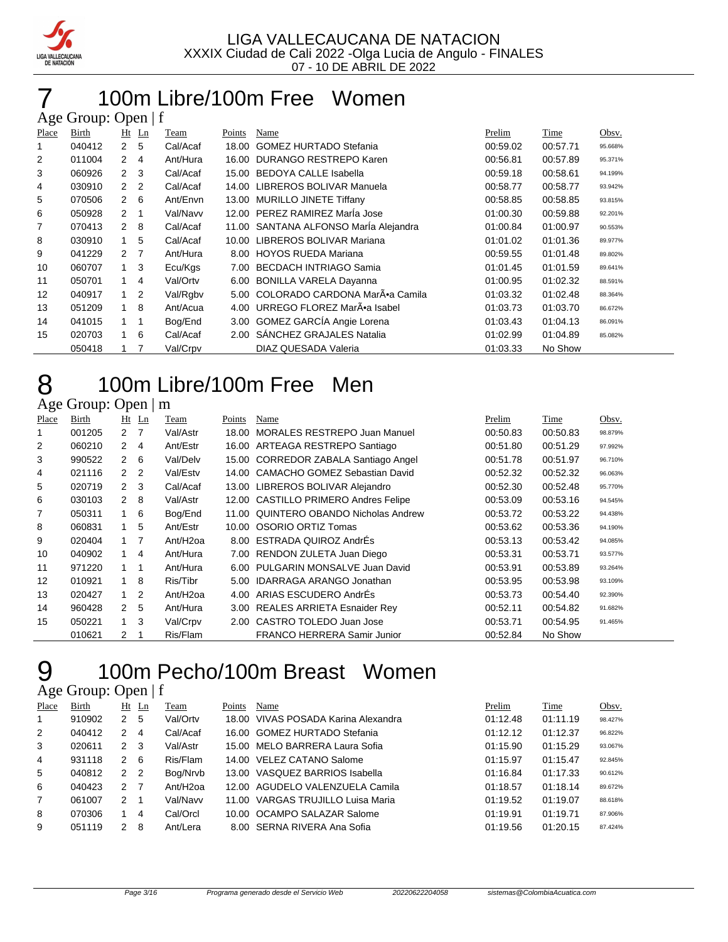

#### 100m Libre/100m Free Women  $\Omega$ ge  $\Omega$

|                | $A\&\cup$ UIVUP. $O\&\cup$ $\cup$ $\cup$ |                  |                |          |        |                                       |          |          |         |  |  |
|----------------|------------------------------------------|------------------|----------------|----------|--------|---------------------------------------|----------|----------|---------|--|--|
| Place          | Birth                                    | $Ht$ Ln          |                | Team     | Points | Name                                  | Prelim   | Time     | Obsv.   |  |  |
|                | 040412                                   | 2 <sub>5</sub>   |                | Cal/Acaf | 18.00  | <b>GOMEZ HURTADO Stefania</b>         | 00:59.02 | 00:57.71 | 95.668% |  |  |
| $\overline{2}$ | 011004                                   | $\mathbf{2}$     | $\overline{4}$ | Ant/Hura | 16.00  | DURANGO RESTREPO Karen                | 00:56.81 | 00:57.89 | 95.371% |  |  |
| 3              | 060926                                   | $2^{\circ}$      | 3              | Cal/Acaf | 15.00  | <b>BEDOYA CALLE Isabella</b>          | 00:59.18 | 00:58.61 | 94.199% |  |  |
| 4              | 030910                                   | 2 <sub>2</sub>   |                | Cal/Acaf | 14.00  | LIBREROS BOLIVAR Manuela              | 00:58.77 | 00:58.77 | 93.942% |  |  |
| 5              | 070506                                   | $2 \quad 6$      |                | Ant/Envn | 13.00  | <b>MURILLO JINETE Tiffany</b>         | 00:58.85 | 00:58.85 | 93.815% |  |  |
| 6              | 050928                                   | $2 \quad 1$      |                | Val/Navv | 12.00  | PEREZ RAMIREZ Marla Jose              | 01:00.30 | 00:59.88 | 92.201% |  |  |
| 7              | 070413                                   | 2                | 8              | Cal/Acaf |        | 11.00 SANTANA ALFONSO María Alejandra | 01:00.84 | 01:00.97 | 90.553% |  |  |
| 8              | 030910                                   | $\mathbf{1}$     | 5              | Cal/Acaf | 10.00  | LIBREROS BOLIVAR Mariana              | 01:01.02 | 01:01.36 | 89.977% |  |  |
| 9              | 041229                                   | $2 \overline{7}$ |                | Ant/Hura | 8.00   | <b>HOYOS RUEDA Mariana</b>            | 00:59.55 | 01:01.48 | 89.802% |  |  |
| 10             | 060707                                   | $1 \quad$        | 3              | Ecu/Kgs  | 7.00   | <b>BECDACH INTRIAGO Samia</b>         | 01:01.45 | 01:01.59 | 89.641% |  |  |
| 11             | 050701                                   | $\mathbf{1}$     | $\overline{4}$ | Val/Ortv | 6.00   | <b>BONILLA VARELA Dayanna</b>         | 01:00.95 | 01:02.32 | 88.591% |  |  |
| 12             | 040917                                   | $1\quad 2$       |                | Val/Rgbv | 5.00   | COLORADO CARDONA MarÕa Camila         | 01:03.32 | 01:02.48 | 88.364% |  |  |
| 13             | 051209                                   | $\mathbf{1}$     | 8              | Ant/Acua | 4.00   | URREGO FLOREZ MarÕa Isabel            | 01:03.73 | 01:03.70 | 86.672% |  |  |
| 14             | 041015                                   | $1 \quad 1$      |                | Bog/End  | 3.00   | GOMEZ GARCÍA Angie Lorena             | 01:03.43 | 01:04.13 | 86.091% |  |  |
| 15             | 020703                                   | $\mathbf{1}$     | 6              | Cal/Acaf | 2.00   | <b>SANCHEZ GRAJALES Natalia</b>       | 01:02.99 | 01:04.89 | 85.082% |  |  |
|                | 050418                                   |                  | 7              | Val/Crpv |        | DIAZ QUESADA Valeria                  | 01:03.33 | No Show  |         |  |  |

# 100m Libre/100m Free Men

### Age Group: Open | m

| Place | Birth  |                | $Ht$ Ln        | Team                 | Points | Name                                 | Prelim   | Time     | Obsv.   |
|-------|--------|----------------|----------------|----------------------|--------|--------------------------------------|----------|----------|---------|
| 1     | 001205 | 2 7            |                | Val/Astr             | 18.00  | MORALES RESTREPO Juan Manuel         | 00:50.83 | 00:50.83 | 98.879% |
| 2     | 060210 | $\mathbf{2}$   | 4              | Ant/Estr             |        | 16.00 ARTEAGA RESTREPO Santiago      | 00:51.80 | 00:51.29 | 97.992% |
| 3     | 990522 | $\mathbf{2}$   | - 6            | Val/Delv             |        | 15.00 CORREDOR ZABALA Santiago Angel | 00:51.78 | 00:51.97 | 96.710% |
| 4     | 021116 | $2\quad 2$     |                | Val/Estv             |        | 14.00 CAMACHO GOMEZ Sebastian David  | 00:52.32 | 00:52.32 | 96.063% |
| 5     | 020719 | 2 <sub>3</sub> |                | Cal/Acaf             |        | 13.00 LIBREROS BOLIVAR Alejandro     | 00:52.30 | 00:52.48 | 95.770% |
| 6     | 030103 | $2 \quad 8$    |                | Val/Astr             |        | 12.00 CASTILLO PRIMERO Andres Felipe | 00:53.09 | 00:53.16 | 94.545% |
| 7     | 050311 | 1              | 6              | Bog/End              | 11.00  | QUINTERO OBANDO Nicholas Andrew      | 00:53.72 | 00:53.22 | 94.438% |
| 8     | 060831 |                | 5              | Ant/Estr             | 10.00  | <b>OSORIO ORTIZ Tomas</b>            | 00:53.62 | 00:53.36 | 94.190% |
| 9     | 020404 |                | $\overline{7}$ | Ant/H <sub>20a</sub> |        | 8.00 ESTRADA QUIROZ AndrÉs           | 00:53.13 | 00:53.42 | 94.085% |
| 10    | 040902 | 1              | 4              | Ant/Hura             |        | 7.00 RENDON ZULETA Juan Diego        | 00:53.31 | 00:53.71 | 93.577% |
| 11    | 971220 | $\mathbf{1}$   | -1             | Ant/Hura             |        | 6.00 PULGARIN MONSALVE Juan David    | 00:53.91 | 00:53.89 | 93.264% |
| 12    | 010921 | 1              | -8             | Ris/Tibr             | 5.00   | <b>IDARRAGA ARANGO Jonathan</b>      | 00:53.95 | 00:53.98 | 93.109% |
| 13    | 020427 | 1.             | $\overline{2}$ | Ant/H <sub>20a</sub> | 4.00   | ARIAS ESCUDERO AndrÉs                | 00:53.73 | 00:54.40 | 92.390% |
| 14    | 960428 | 2 <sub>5</sub> |                | Ant/Hura             |        | 3.00 REALES ARRIETA Esnaider Rey     | 00:52.11 | 00:54.82 | 91.682% |
| 15    | 050221 | 1              | 3              | Val/Crpv             |        | 2.00 CASTRO TOLEDO Juan Jose         | 00:53.71 | 00:54.95 | 91.465% |
|       | 010621 | 2              |                | Ris/Flam             |        | <b>FRANCO HERRERA Samir Junior</b>   | 00:52.84 | No Show  |         |

# 100m Pecho/100m Breast Women

| Place        | <b>Birth</b> |                | $Ht$ Ln | Team                 | Points | Name                            | Prelim   | Time     | Obsv.   |
|--------------|--------------|----------------|---------|----------------------|--------|---------------------------------|----------|----------|---------|
| $\mathbf{1}$ | 910902       | 2              | 5       | Val/Ortv             | 18.00  | VIVAS POSADA Karina Alexandra   | 01:12.48 | 01:11.19 | 98.427% |
| 2            | 040412       | 2              | 4       | Cal/Acaf             |        | 16.00 GOMEZ HURTADO Stefania    | 01:12.12 | 01:12.37 | 96.822% |
| 3            | 020611       | 2 3            |         | Val/Astr             |        | 15.00 MELO BARRERA Laura Sofia  | 01:15.90 | 01:15.29 | 93.067% |
| 4            | 931118       | $\mathcal{P}$  | -6      | Ris/Flam             |        | 14.00 VELEZ CATANO Salome       | 01:15.97 | 01:15.47 | 92.845% |
| 5            | 040812       | 2 <sub>2</sub> |         | Bog/Nrvb             | 13.00  | VASQUEZ BARRIOS Isabella        | 01:16.84 | 01:17.33 | 90.612% |
| 6            | 040423       | 2              | 7       | Ant/H <sub>20a</sub> |        | 12.00 AGUDELO VALENZUELA Camila | 01:18.57 | 01:18.14 | 89.672% |
| 7            | 061007       | 2              |         | Val/Navv             | 11.00  | VARGAS TRUJILLO Luisa Maria     | 01:19.52 | 01:19.07 | 88.618% |
| 8            | 070306       |                | 4       | Cal/Orcl             |        | 10.00 OCAMPO SALAZAR Salome     | 01:19.91 | 01:19.71 | 87.906% |
| 9            | 051119       | 2              | 8       | Ant/Lera             |        | 8.00 SERNA RIVERA Ana Sofia     | 01:19.56 | 01:20.15 | 87.424% |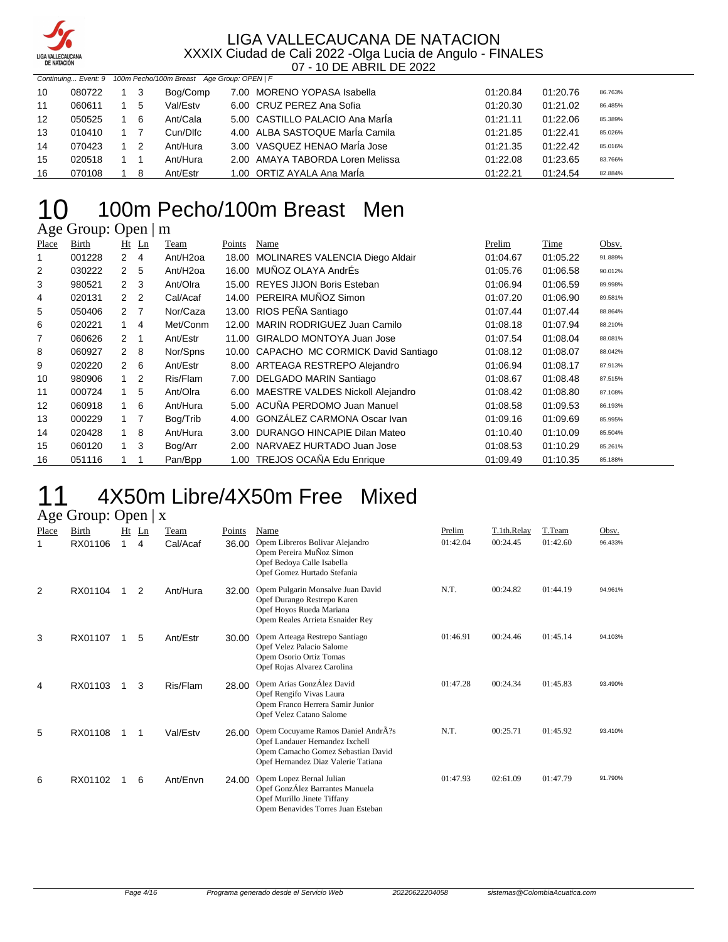

|    |        |                | Continuing Event: 9 100m Pecho/100m Breast Age Group: OPEN   F |                                  |          |          |         |
|----|--------|----------------|----------------------------------------------------------------|----------------------------------|----------|----------|---------|
| 10 | 080722 | - 3            | Bog/Comp                                                       | 7.00 MORENO YOPASA Isabella      | 01:20.84 | 01:20.76 | 86.763% |
| 11 | 060611 | -5             | Val/Estv                                                       | 6.00 CRUZ PEREZ Ana Sofia        | 01:20.30 | 01:21.02 | 86.485% |
| 12 | 050525 | -6             | Ant/Cala                                                       | 5.00 CASTILLO PALACIO Ana María  | 01:21.11 | 01:22.06 | 85.389% |
| 13 | 010410 |                | Cun/Dlfc                                                       | 4.00 ALBA SASTOQUE María Camila  | 01:21.85 | 01:22.41 | 85.026% |
| 14 | 070423 | $\overline{2}$ | Ant/Hura                                                       | 3.00 VASQUEZ HENAO MarÍa Jose    | 01:21.35 | 01:22.42 | 85.016% |
| 15 | 020518 |                | Ant/Hura                                                       | 2.00 AMAYA TABORDA Loren Melissa | 01:22.08 | 01:23.65 | 83.766% |
| 16 | 070108 | - 8            | Ant/Estr                                                       | 1.00 ORTIZ AYALA Ana María       | 01:22.21 | 01:24.54 | 82.884% |

### 100m Pecho/100m Breast Men  $10$  100m P

| Place | Birth  |                      | $Ht$ Ln        | Team                 | Points | Name                                    | Prelim   | Time     | Obsv.   |
|-------|--------|----------------------|----------------|----------------------|--------|-----------------------------------------|----------|----------|---------|
|       | 001228 | $\mathbf{2}^{\circ}$ | 4              | Ant/H <sub>20a</sub> | 18.00  | MOLINARES VALENCIA Diego Aldair         | 01:04.67 | 01:05.22 | 91.889% |
| 2     | 030222 | $\overline{2}$       | 5              | Ant/H <sub>20a</sub> |        | 16.00 MUÑOZ OLAYA AndrÉs                | 01:05.76 | 01:06.58 | 90.012% |
| 3     | 980521 | $\overline{2}$       | -3             | Ant/Olra             |        | 15.00 REYES JIJON Boris Esteban         | 01:06.94 | 01:06.59 | 89.998% |
| 4     | 020131 | 2 <sub>2</sub>       |                | Cal/Acaf             |        | 14.00 PEREIRA MUÑOZ Simon               | 01:07.20 | 01:06.90 | 89.581% |
| 5     | 050406 | 2                    | - 7            | Nor/Caza             |        | 13.00 RIOS PEÑA Santiago                | 01:07.44 | 01:07.44 | 88.864% |
| 6     | 020221 |                      | 4              | Met/Conm             | 12.00  | MARIN RODRIGUEZ Juan Camilo             | 01:08.18 | 01:07.94 | 88.210% |
| 7     | 060626 | 2                    | 1              | Ant/Estr             |        | 11.00 GIRALDO MONTOYA Juan Jose         | 01:07.54 | 01:08.04 | 88.081% |
| 8     | 060927 | 2                    | 8              | Nor/Spns             |        | 10.00 CAPACHO MC CORMICK David Santiago | 01:08.12 | 01:08.07 | 88.042% |
| 9     | 020220 | $\mathbf{2}$         | - 6            | Ant/Estr             |        | 8.00 ARTEAGA RESTREPO Alejandro         | 01:06.94 | 01:08.17 | 87.913% |
| 10    | 980906 | 1                    | 2              | Ris/Flam             |        | 7.00 DELGADO MARIN Santiago             | 01:08.67 | 01:08.48 | 87.515% |
| 11    | 000724 | 1.                   | 5              | Ant/Olra             |        | 6.00 MAESTRE VALDES Nickoll Alejandro   | 01:08.42 | 01:08.80 | 87.108% |
| 12    | 060918 | 1                    | 6              | Ant/Hura             |        | 5.00 ACUÑA PERDOMO Juan Manuel          | 01:08.58 | 01:09.53 | 86.193% |
| 13    | 000229 |                      | $\overline{7}$ | Bog/Trib             | 4.00   | GONZÁLEZ CARMONA Oscar Ivan             | 01:09.16 | 01:09.69 | 85.995% |
| 14    | 020428 | 1                    | 8              | Ant/Hura             | 3.00   | DURANGO HINCAPIE Dilan Mateo            | 01:10.40 | 01:10.09 | 85.504% |
| 15    | 060120 | 1.                   | 3              | Bog/Arr              | 2.00   | NARVAEZ HURTADO Juan Jose               | 01:08.53 | 01:10.29 | 85.261% |
| 16    | 051116 |                      | 1              | Pan/Bpp              |        | 1.00 TREJOS OCAÑA Edu Enrique           | 01:09.49 | 01:10.35 | 85.188% |

#### 11 4X50m Libre/4X50m Free Mixed Age Group: Open | x

|       |         |    | $\sim$ $\sim$ $\sim$ $\sim$ |          |        |                                                                                                                                                                   |          |             |          |         |
|-------|---------|----|-----------------------------|----------|--------|-------------------------------------------------------------------------------------------------------------------------------------------------------------------|----------|-------------|----------|---------|
| Place | Birth   | Ht | Ln                          | Team     | Points | Name                                                                                                                                                              | Prelim   | T.1th.Relay | T.Team   | Obsv.   |
| 1     | RX01106 | 1  | 4                           | Cal/Acaf | 36.00  | Opem Libreros Bolivar Alejandro<br>Opem Pereira MuÑoz Simon<br>Opef Bedoya Calle Isabella<br>Opef Gomez Hurtado Stefania                                          | 01:42.04 | 00:24.45    | 01:42.60 | 96.433% |
| 2     | RX01104 | 1  | 2                           | Ant/Hura | 32.00  | Opem Pulgarin Monsalve Juan David<br>Opef Durango Restrepo Karen<br>Opef Hoyos Rueda Mariana<br>Opem Reales Arrieta Esnaider Rey                                  | N.T.     | 00:24.82    | 01:44.19 | 94.961% |
| 3     | RX01107 | 1  | 5                           | Ant/Estr | 30.00  | Opem Arteaga Restrepo Santiago<br>Opef Velez Palacio Salome<br>Opem Osorio Ortiz Tomas<br>Opef Rojas Alvarez Carolina                                             | 01:46.91 | 00:24.46    | 01:45.14 | 94.103% |
| 4     | RX01103 | 1  | 3                           | Ris/Flam | 28.00  | Opem Arias GonzÁlez David<br>Opef Rengifo Vivas Laura<br>Opem Franco Herrera Samir Junior<br>Opef Velez Catano Salome                                             | 01:47.28 | 00:24.34    | 01:45.83 | 93.490% |
| 5     | RX01108 | 1  | 1                           | Val/Estv | 26.00  | Opem Cocuyame Ramos Daniel Andr $\overline{A}$ ?s<br>Opef Landauer Hernandez Ixchell<br>Opem Camacho Gomez Sebastian David<br>Opef Hernandez Diaz Valerie Tatiana | N.T.     | 00:25.71    | 01:45.92 | 93.410% |
| 6     | RX01102 | 1  | 6                           | Ant/Envn | 24.00  | Opem Lopez Bernal Julian<br>Opef GonzÁlez Barrantes Manuela<br>Opef Murillo Jinete Tiffany<br>Opem Benavides Torres Juan Esteban                                  | 01:47.93 | 02:61.09    | 01:47.79 | 91.790% |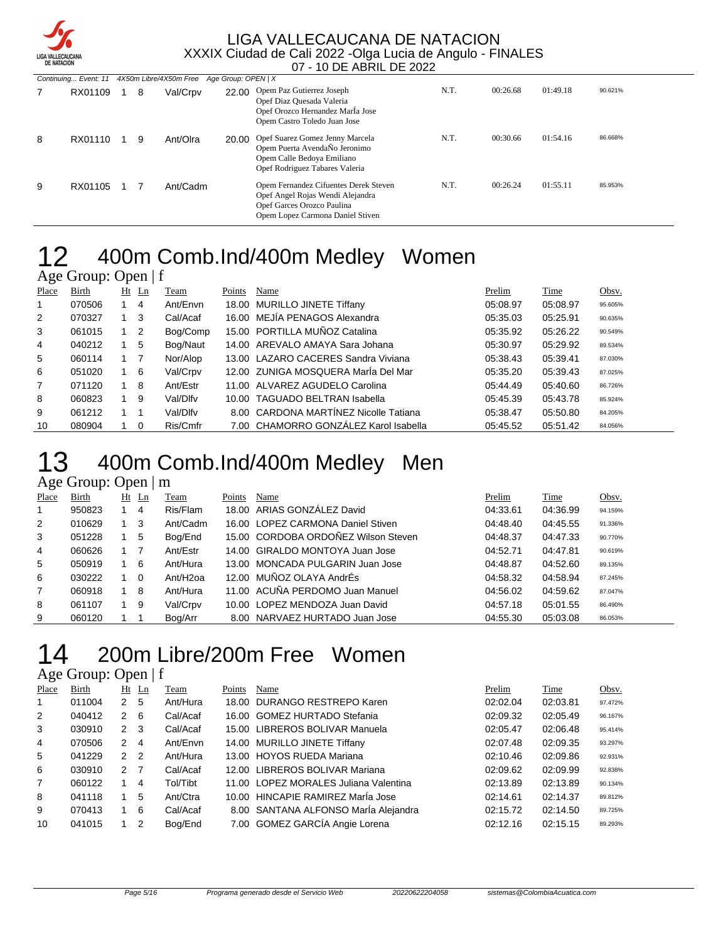

|   | Continuing Event: 11 |   |          | 4X50m Libre/4X50m Free Age Group: OPEN   X |                                                                                                                                             |      |          |          |         |
|---|----------------------|---|----------|--------------------------------------------|---------------------------------------------------------------------------------------------------------------------------------------------|------|----------|----------|---------|
|   | RX01109              | 8 | Val/Crpv | 22.00                                      | Opem Paz Gutierrez Joseph<br>Opef Diaz Quesada Valeria<br>Opef Orozco Hernandez MarÍa Jose<br>Opem Castro Toledo Juan Jose                  | N.T. | 00:26.68 | 01:49.18 | 90.621% |
| 8 | RX01110              | 9 | Ant/Olra | 20.00                                      | Opef Suarez Gomez Jenny Marcela<br>Opem Puerta AvendaÑo Jeronimo<br>Opem Calle Bedova Emiliano<br>Opef Rodriguez Tabares Valeria            | N.T. | 00:30.66 | 01:54.16 | 86.668% |
| 9 | RX01105              |   | Ant/Cadm |                                            | Opem Fernandez Cifuentes Derek Steven<br>Opef Angel Rojas Wendi Alejandra<br>Opef Garces Orozco Paulina<br>Opem Lopez Carmona Daniel Stiven | N.T. | 00:26.24 | 01:55.11 | 85.953% |

#### 400m Comb.Ind/400m Medley Women Age Group: Open | f

|       | ———————————— |             |         |          |        |                                       |          |          |         |
|-------|--------------|-------------|---------|----------|--------|---------------------------------------|----------|----------|---------|
| Place | Birth        |             | $Ht$ Ln | Team     | Points | Name                                  | Prelim   | Time     | Obsv.   |
| -1    | 070506       |             | 4       | Ant/Envn |        | 18.00 MURILLO JINETE Tiffany          | 05:08.97 | 05:08.97 | 95.605% |
| 2     | 070327       | $1 \quad 3$ |         | Cal/Acaf |        | 16.00 MEJÍA PENAGOS Alexandra         | 05:35.03 | 05:25.91 | 90.635% |
| 3     | 061015       | $1\quad 2$  |         | Bog/Comp |        | 15.00 PORTILLA MUÑOZ Catalina         | 05:35.92 | 05:26.22 | 90.549% |
| 4     | 040212       |             | 5       | Bog/Naut |        | 14.00 AREVALO AMAYA Sara Johana       | 05:30.97 | 05:29.92 | 89.534% |
| 5     | 060114       | $1 \quad 7$ |         | Nor/Alop |        | 13.00 LAZARO CACERES Sandra Viviana   | 05:38.43 | 05:39.41 | 87.030% |
| 6     | 051020       | 1 6         |         | Val/Crpv |        | 12.00 ZUNIGA MOSQUERA Maria Del Mar   | 05:35.20 | 05:39.43 | 87.025% |
| 7     | 071120       |             | 8       | Ant/Estr |        | 11.00 ALVAREZ AGUDELO Carolina        | 05:44.49 | 05:40.60 | 86.726% |
| 8     | 060823       |             | 9       | Val/Dlfv |        | 10.00 TAGUADO BELTRAN Isabella        | 05:45.39 | 05:43.78 | 85.924% |
| 9     | 061212       | 1 1         |         | Val/Dlfv |        | 8.00 CARDONA MARTINEZ Nicolle Tatiana | 05:38.47 | 05:50.80 | 84.205% |
| 10    | 080904       | $1\quad 0$  |         | Ris/Cmfr |        | 7.00 CHAMORRO GONZÁLEZ Karol Isabella | 05:45.52 | 05:51.42 | 84.056% |

### 400m Comb.Ind/400m Medley Men

### Age Group: Open | m

| Place | Birth  | Ht | Ln       | Team                 | Points | Name                                | Prelim   | Time     | Obsv.   |
|-------|--------|----|----------|----------------------|--------|-------------------------------------|----------|----------|---------|
|       | 950823 |    | 4        | Ris/Flam             |        | 18.00 ARIAS GONZALEZ David          | 04:33.61 | 04:36.99 | 94.159% |
| 2     | 010629 |    | 3        | Ant/Cadm             |        | 16.00 LOPEZ CARMONA Daniel Stiven   | 04:48.40 | 04:45.55 | 91.336% |
| 3     | 051228 |    | 5        | Bog/End              |        | 15.00 CORDOBA ORDOÑEZ Wilson Steven | 04:48.37 | 04:47.33 | 90.770% |
| 4     | 060626 |    |          | Ant/Estr             |        | 14.00 GIRALDO MONTOYA Juan Jose     | 04:52.71 | 04:47.81 | 90.619% |
| 5     | 050919 |    | 6        | Ant/Hura             |        | 13.00 MONCADA PULGARIN Juan Jose    | 04:48.87 | 04:52.60 | 89.135% |
| 6     | 030222 |    | $\Omega$ | Ant/H <sub>20a</sub> |        | 12.00 MUÑOZ OLAYA AndrÉs            | 04:58.32 | 04:58.94 | 87.245% |
| 7     | 060918 |    | 8        | Ant/Hura             |        | 11.00 ACUÑA PERDOMO Juan Manuel     | 04:56.02 | 04:59.62 | 87.047% |
| 8     | 061107 |    | 9        | Val/Crpv             |        | 10.00 LOPEZ MENDOZA Juan David      | 04:57.18 | 05:01.55 | 86.490% |
| 9     | 060120 |    |          | Bog/Arr              |        | 8.00 NARVAEZ HURTADO Juan Jose      | 04:55.30 | 05:03.08 | 86.053% |

### 200m Libre/200m Free Women

| Place        | Birth  |               | Ht Ln          | Team     | Points | Name                                  | Prelim   | Time     | Obsv.   |
|--------------|--------|---------------|----------------|----------|--------|---------------------------------------|----------|----------|---------|
| $\mathbf{1}$ | 011004 | 2             | 5              | Ant/Hura |        | 18.00 DURANGO RESTREPO Karen          | 02:02.04 | 02:03.81 | 97.472% |
| 2            | 040412 | 2             | 6              | Cal/Acaf |        | 16.00 GOMEZ HURTADO Stefania          | 02:09.32 | 02:05.49 | 96.167% |
| 3            | 030910 | 2             | 3              | Cal/Acaf |        | 15.00 LIBREROS BOLIVAR Manuela        | 02:05.47 | 02:06.48 | 95.414% |
| 4            | 070506 | $\mathcal{P}$ | 4              | Ant/Envn |        | 14.00 MURILLO JINETE Tiffany          | 02:07.48 | 02:09.35 | 93.297% |
| 5            | 041229 | $\mathcal{P}$ | $\overline{2}$ | Ant/Hura |        | 13.00 HOYOS RUEDA Mariana             | 02:10.46 | 02:09.86 | 92.931% |
| 6            | 030910 | $\mathcal{P}$ | -7             | Cal/Acaf |        | 12.00 LIBREROS BOLIVAR Mariana        | 02:09.62 | 02:09.99 | 92.838% |
| 7            | 060122 |               | 4              | Tol/Tibt |        | 11.00 LOPEZ MORALES Juliana Valentina | 02:13.89 | 02:13.89 | 90.134% |
| 8            | 041118 |               | 5              | Ant/Ctra |        | 10.00 HINCAPIE RAMIREZ Marla Jose     | 02:14.61 | 02:14.37 | 89.812% |
| 9            | 070413 |               | 6              | Cal/Acaf |        | 8.00 SANTANA ALFONSO Maria Alejandra  | 02:15.72 | 02:14.50 | 89.725% |
| 10           | 041015 |               | 2              | Bog/End  |        | 7.00 GOMEZ GARCÍA Angie Lorena        | 02:12.16 | 02:15.15 | 89.293% |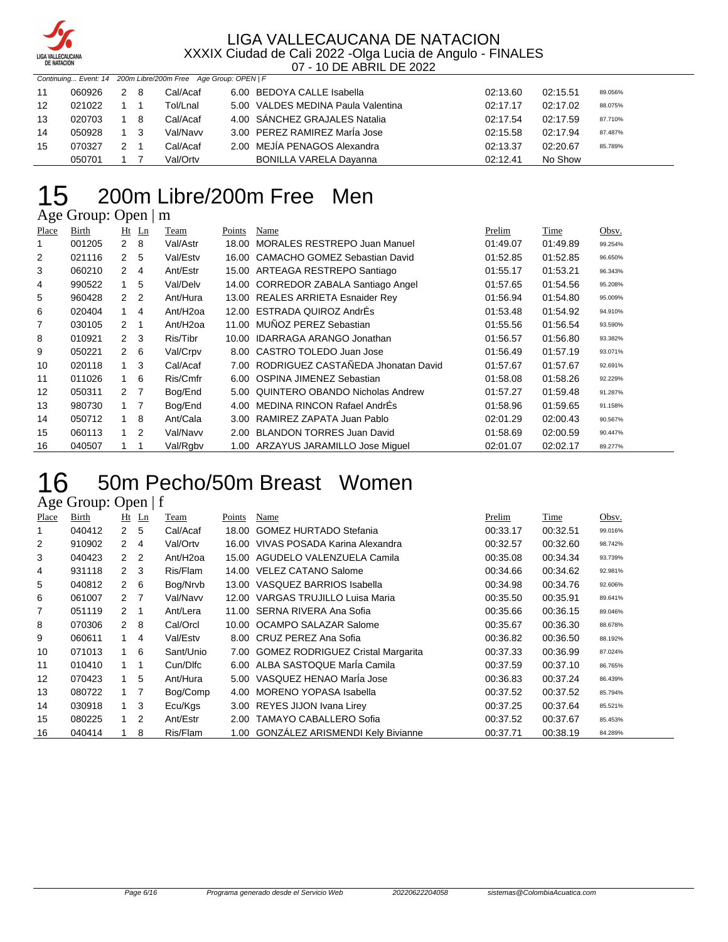

|    |        |     | Continuing Event: 14 200m Libre/200m Free Age Group: OPEN   F |                                    |          |          |         |
|----|--------|-----|---------------------------------------------------------------|------------------------------------|----------|----------|---------|
| 11 | 060926 | 2 8 | Cal/Acaf                                                      | 6.00 BEDOYA CALLE Isabella         | 02:13.60 | 02:15.51 | 89.056% |
| 12 | 021022 |     | Tol/Lnal                                                      | 5.00 VALDES MEDINA Paula Valentina | 02:17.17 | 02:17.02 | 88.075% |
| 13 | 020703 | - 8 | Cal/Acaf                                                      | 4.00 SÁNCHEZ GRAJALES Natalia      | 02:17.54 | 02:17.59 | 87.710% |
| 14 | 050928 | 3   | Val/Navv                                                      | 3.00 PEREZ RAMIREZ MarÍa Jose      | 02:15.58 | 02:17.94 | 87.487% |
| 15 | 070327 |     | Cal/Acaf                                                      | 2.00 MEJÍA PENAGOS Alexandra       | 02:13.37 | 02:20.67 | 85.789% |
|    | 050701 |     | Val/Ortv                                                      | <b>BONILLA VARELA Dayanna</b>      | 02:12.41 | No Show  |         |

# 200m Libre/200m Free Men

Age Group: Open | m

| Place | Birth  |                | $Ht$ Ln        | Team                 | Points | Name                                    | Prelim   | Time     | Obsv.   |
|-------|--------|----------------|----------------|----------------------|--------|-----------------------------------------|----------|----------|---------|
|       | 001205 | $2 \quad 8$    |                | Val/Astr             | 18.00  | MORALES RESTREPO Juan Manuel            | 01:49.07 | 01:49.89 | 99.254% |
| 2     | 021116 | 2 <sub>5</sub> |                | Val/Estv             |        | 16.00 CAMACHO GOMEZ Sebastian David     | 01:52.85 | 01:52.85 | 96.650% |
| 3     | 060210 | 2              | 4              | Ant/Estr             |        | 15.00 ARTEAGA RESTREPO Santiago         | 01:55.17 | 01:53.21 | 96.343% |
| 4     | 990522 | 1.             | 5              | Val/Delv             |        | 14.00 CORREDOR ZABALA Santiago Angel    | 01:57.65 | 01:54.56 | 95.208% |
| 5     | 960428 | 2 <sub>2</sub> |                | Ant/Hura             |        | 13.00 REALES ARRIETA Esnaider Rey       | 01:56.94 | 01:54.80 | 95.009% |
| 6     | 020404 | 1              | $\overline{4}$ | Ant/H <sub>20a</sub> |        | 12.00 ESTRADA QUIROZ AndrÉs             | 01:53.48 | 01:54.92 | 94.910% |
| 7     | 030105 | $2 \quad 1$    |                | Ant/H <sub>20a</sub> | 11.00  | MUÑOZ PEREZ Sebastian                   | 01:55.56 | 01:56.54 | 93.590% |
| 8     | 010921 | $2 \quad 3$    |                | Ris/Tibr             | 10.00  | <b>IDARRAGA ARANGO Jonathan</b>         | 01:56.57 | 01:56.80 | 93.382% |
| 9     | 050221 | $2^{\circ}$    | 6              | Val/Crpv             |        | 8.00 CASTRO TOLEDO Juan Jose            | 01:56.49 | 01:57.19 | 93.071% |
| 10    | 020118 | $1 \quad$      | -3             | Cal/Acaf             |        | 7.00 RODRIGUEZ CASTAÑEDA Jhonatan David | 01:57.67 | 01:57.67 | 92.691% |
| 11    | 011026 | 1              | 6              | Ris/Cmfr             | 6.00   | OSPINA JIMENEZ Sebastian                | 01:58.08 | 01:58.26 | 92.229% |
| 12    | 050311 | 2 <sub>7</sub> |                | Bog/End              | 5.00   | QUINTERO OBANDO Nicholas Andrew         | 01:57.27 | 01:59.48 | 91.287% |
| 13    | 980730 | $1 \quad 7$    |                | Bog/End              | 4.00   | <b>MEDINA RINCON Rafael AndrEs</b>      | 01:58.96 | 01:59.65 | 91.158% |
| 14    | 050712 | 1              | 8              | Ant/Cala             | 3.00   | RAMIREZ ZAPATA Juan Pablo               | 02:01.29 | 02:00.43 | 90.567% |
| 15    | 060113 | $1\quad 2$     |                | Val/Navv             | 2.00   | <b>BLANDON TORRES Juan David</b>        | 01:58.69 | 02:00.59 | 90.447% |
| 16    | 040507 |                |                | Val/Rgbv             |        | 1.00 ARZAYUS JARAMILLO Jose Miquel      | 02:01.07 | 02:02.17 | 89.277% |

### 50m Pecho/50m Breast Women 16 50m Pe<br>Age Group: Open | f

| Place | Birth  |                | $Ht$ Ln        | <b>Team</b>          | Points | Name                                   | Prelim   | Time     | Obsv.   |
|-------|--------|----------------|----------------|----------------------|--------|----------------------------------------|----------|----------|---------|
|       | 040412 | 2 <sub>5</sub> |                | Cal/Acaf             | 18.00  | <b>GOMEZ HURTADO Stefania</b>          | 00:33.17 | 00:32.51 | 99.016% |
| 2     | 910902 | 2              | $\overline{4}$ | Val/Ortv             |        | 16.00 VIVAS POSADA Karina Alexandra    | 00:32.57 | 00:32.60 | 98.742% |
| 3     | 040423 | 2 <sub>2</sub> |                | Ant/H <sub>20a</sub> | 15.00  | AGUDELO VALENZUELA Camila              | 00:35.08 | 00:34.34 | 93.739% |
| 4     | 931118 | $2 \quad 3$    |                | Ris/Flam             |        | 14.00 VELEZ CATANO Salome              | 00:34.66 | 00:34.62 | 92.981% |
| 5     | 040812 | $2 \quad 6$    |                | Bog/Nrvb             |        | 13.00 VASQUEZ BARRIOS Isabella         | 00:34.98 | 00:34.76 | 92.606% |
| 6     | 061007 | 2 <sub>7</sub> |                | Val/Navv             |        | 12.00 VARGAS TRUJILLO Luisa Maria      | 00:35.50 | 00:35.91 | 89.641% |
| 7     | 051119 | $2 \quad 1$    |                | Ant/Lera             |        | 11.00 SERNA RIVERA Ana Sofia           | 00:35.66 | 00:36.15 | 89.046% |
| 8     | 070306 | $2 \quad 8$    |                | Cal/Orcl             |        | 10.00 OCAMPO SALAZAR Salome            | 00:35.67 | 00:36.30 | 88.678% |
| 9     | 060611 | 1              | 4              | Val/Estv             |        | 8.00 CRUZ PEREZ Ana Sofia              | 00:36.82 | 00:36.50 | 88.192% |
| 10    | 071013 | 1              | 6              | Sant/Unio            |        | 7.00 GOMEZ RODRIGUEZ Cristal Margarita | 00:37.33 | 00:36.99 | 87.024% |
| 11    | 010410 | $1 \quad 1$    |                | Cun/Dlfc             |        | 6.00 ALBA SASTOQUE Maria Camila        | 00:37.59 | 00:37.10 | 86.765% |
| 12    | 070423 | $\mathbf{1}$   | 5              | Ant/Hura             |        | 5.00 VASQUEZ HENAO Marla Jose          | 00:36.83 | 00:37.24 | 86.439% |
| 13    | 080722 | $1 \quad 7$    |                | Bog/Comp             | 4.00   | MORENO YOPASA Isabella                 | 00:37.52 | 00:37.52 | 85.794% |
| 14    | 030918 | $1 \quad$      | 3              | Ecu/Kgs              |        | 3.00 REYES JIJON Ivana Lirey           | 00:37.25 | 00:37.64 | 85.521% |
| 15    | 080225 | $1\quad 2$     |                | Ant/Estr             | 2.00   | <b>TAMAYO CABALLERO Sofia</b>          | 00:37.52 | 00:37.67 | 85.453% |
| 16    | 040414 |                | 8              | Ris/Flam             |        | 1.00 GONZÁLEZ ARISMENDI Kely Bivianne  | 00:37.71 | 00:38.19 | 84.289% |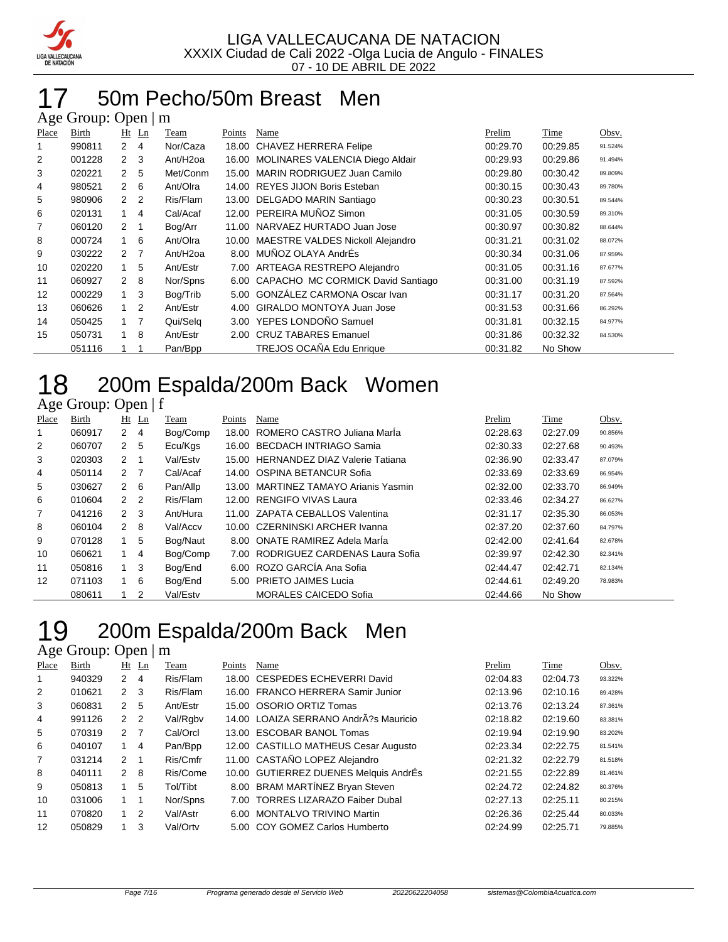

#### 50m Pecho/50m Breast Men  $A$ ge Group: Open  $|m$

|       | $\Delta$ gu Oroup. Open $\parallel$ m |                |                |                      |        |                                        |          |          |         |  |  |  |  |
|-------|---------------------------------------|----------------|----------------|----------------------|--------|----------------------------------------|----------|----------|---------|--|--|--|--|
| Place | Birth                                 |                | $Ht$ Ln        | Team                 | Points | Name                                   | Prelim   | Time     | Obsv.   |  |  |  |  |
| 1     | 990811                                | $\mathbf{2}$   | 4              | Nor/Caza             | 18.00  | CHAVEZ HERRERA Felipe                  | 00:29.70 | 00:29.85 | 91.524% |  |  |  |  |
| 2     | 001228                                | $\mathcal{P}$  | 3              | Ant/H <sub>20a</sub> | 16.00  | <b>MOLINARES VALENCIA Diego Aldair</b> | 00:29.93 | 00:29.86 | 91.494% |  |  |  |  |
| 3     | 020221                                | $\mathcal{P}$  | 5              | Met/Conm             | 15.00  | MARIN RODRIGUEZ Juan Camilo            | 00:29.80 | 00:30.42 | 89.809% |  |  |  |  |
| 4     | 980521                                | $\mathcal{P}$  | 6              | Ant/Olra             |        | 14.00 REYES JIJON Boris Esteban        | 00:30.15 | 00:30.43 | 89.780% |  |  |  |  |
| 5     | 980906                                | 2              | $\overline{2}$ | Ris/Flam             |        | 13.00 DELGADO MARIN Santiago           | 00:30.23 | 00:30.51 | 89.544% |  |  |  |  |
| 6     | 020131                                | 1              | 4              | Cal/Acaf             |        | 12.00 PEREIRA MUÑOZ Simon              | 00:31.05 | 00:30.59 | 89.310% |  |  |  |  |
| 7     | 060120                                | $\overline{2}$ |                | Bog/Arr              | 11.00  | NARVAEZ HURTADO Juan Jose              | 00:30.97 | 00:30.82 | 88.644% |  |  |  |  |
| 8     | 000724                                | $\mathbf{1}$   | 6              | Ant/Olra             |        | 10.00 MAESTRE VALDES Nickoll Alejandro | 00:31.21 | 00:31.02 | 88.072% |  |  |  |  |
| 9     | 030222                                | $\mathcal{P}$  | 7              | Ant/H <sub>20a</sub> | 8.00   | MUÑOZ OLAYA AndrÉs                     | 00:30.34 | 00:31.06 | 87.959% |  |  |  |  |
| 10    | 020220                                | 1              | 5              | Ant/Estr             |        | 7.00 ARTEAGA RESTREPO Alejandro        | 00:31.05 | 00:31.16 | 87.677% |  |  |  |  |
| 11    | 060927                                | $\mathcal{P}$  | 8              | Nor/Spns             | 6.00   | CAPACHO MC CORMICK David Santiago      | 00:31.00 | 00:31.19 | 87.592% |  |  |  |  |
| 12    | 000229                                | 1              | 3              | Bog/Trib             | 5.00   | <b>GONZÁLEZ CARMONA Oscar Ivan</b>     | 00:31.17 | 00:31.20 | 87.564% |  |  |  |  |
| 13    | 060626                                | 1              | 2              | Ant/Estr             | 4.00   | <b>GIRALDO MONTOYA Juan Jose</b>       | 00:31.53 | 00:31.66 | 86.292% |  |  |  |  |
| 14    | 050425                                | 1              | 7              | Qui/Selg             | 3.00   | YEPES LONDOÑO Samuel                   | 00:31.81 | 00:32.15 | 84.977% |  |  |  |  |
| 15    | 050731                                | $\mathbf{1}$   | 8              | Ant/Estr             | 2.00   | <b>CRUZ TABARES Emanuel</b>            | 00:31.86 | 00:32.32 | 84.530% |  |  |  |  |
|       | 051116                                |                |                | Pan/Bpp              |        | TREJOS OCAÑA Edu Enrique               | 00:31.82 | No Show  |         |  |  |  |  |

# 18 200m Espalda/200m Back Women

#### Age Group: Open | f

| Place | <b>Birth</b> |                | $Ht$ Ln | Team     | Points | Name                                 | Prelim   | Time     | Obsv.   |
|-------|--------------|----------------|---------|----------|--------|--------------------------------------|----------|----------|---------|
|       | 060917       | $2 \quad 4$    |         | Bog/Comp |        | 18.00 ROMERO CASTRO Juliana Marla    | 02:28.63 | 02:27.09 | 90.856% |
| 2     | 060707       | 2 <sub>5</sub> |         | Ecu/Kgs  | 16.00  | BECDACH INTRIAGO Samia               | 02:30.33 | 02:27.68 | 90.493% |
| 3     | 020303       | $2 \quad 1$    |         | Val/Estv |        | 15.00 HERNANDEZ DIAZ Valerie Tatiana | 02:36.90 | 02:33.47 | 87.079% |
| 4     | 050114       | 2 7            |         | Cal/Acaf |        | 14.00 OSPINA BETANCUR Sofia          | 02:33.69 | 02:33.69 | 86.954% |
| 5     | 030627       | $2 \quad 6$    |         | Pan/Allp |        | 13.00 MARTINEZ TAMAYO Arianis Yasmin | 02:32.00 | 02:33.70 | 86.949% |
| 6     | 010604       | 2 <sub>2</sub> |         | Ris/Flam |        | 12.00 RENGIFO VIVAS Laura            | 02:33.46 | 02:34.27 | 86.627% |
| 7     | 041216       | 2 <sub>3</sub> |         | Ant/Hura |        | 11.00 ZAPATA CEBALLOS Valentina      | 02:31.17 | 02:35.30 | 86.053% |
| 8     | 060104       | $2 \quad 8$    |         | Val/Accv |        | 10.00 CZERNINSKI ARCHER Ivanna       | 02:37.20 | 02:37.60 | 84.797% |
| 9     | 070128       |                | 5       | Bog/Naut |        | 8.00 ONATE RAMIREZ Adela Maria       | 02:42.00 | 02:41.64 | 82.678% |
| 10    | 060621       | $1 \quad 4$    |         | Bog/Comp | 7.00   | RODRIGUEZ CARDENAS Laura Sofia       | 02:39.97 | 02:42.30 | 82.341% |
| 11    | 050816       | $1 \quad 3$    |         | Bog/End  |        | 6.00 ROZO GARCÍA Ana Sofia           | 02:44.47 | 02:42.71 | 82.134% |
| 12    | 071103       |                | 6       | Bog/End  | 5.00   | <b>PRIETO JAIMES Lucia</b>           | 02:44.61 | 02:49.20 | 78.983% |
|       | 080611       |                | 2       | Val/Estv |        | <b>MORALES CAICEDO Sofia</b>         | 02:44.66 | No Show  |         |

# 200m Espalda/200m Back Men

| Place | Birth  |                | $Ht$ Ln        | Team     | Points | Name                                  | Prelim   | Time     | Obsv.   |
|-------|--------|----------------|----------------|----------|--------|---------------------------------------|----------|----------|---------|
|       | 940329 | 2              | 4              | Ris/Flam |        | 18.00 CESPEDES ECHEVERRI David        | 02:04.83 | 02:04.73 | 93.322% |
| 2     | 010621 | 2 <sub>3</sub> |                | Ris/Flam |        | 16.00 FRANCO HERRERA Samir Junior     | 02:13.96 | 02:10.16 | 89.428% |
| 3     | 060831 | $\mathcal{P}$  | 5              | Ant/Estr |        | 15.00 OSORIO ORTIZ Tomas              | 02:13.76 | 02:13.24 | 87.361% |
| 4     | 991126 | 2 <sub>2</sub> |                | Val/Rgbv |        | 14.00 LOAIZA SERRANO AndrÂ?s Mauricio | 02:18.82 | 02:19.60 | 83.381% |
| 5     | 070319 | 2 <sub>7</sub> |                | Cal/Orcl |        | 13.00 ESCOBAR BANOL Tomas             | 02:19.94 | 02:19.90 | 83.202% |
| 6     | 040107 | 1.             | $\overline{4}$ | Pan/Bpp  |        | 12.00 CASTILLO MATHEUS Cesar Augusto  | 02:23.34 | 02:22.75 | 81.541% |
| 7     | 031214 | $\mathcal{P}$  | -1             | Ris/Cmfr |        | 11.00 CASTAÑO LOPEZ Alejandro         | 02:21.32 | 02:22.79 | 81.518% |
| 8     | 040111 | $\mathcal{P}$  | -8             | Ris/Come |        | 10.00 GUTIERREZ DUENES Melquis AndrÉs | 02:21.55 | 02:22.89 | 81.461% |
| 9     | 050813 | 1.             | 5              | Tol/Tibt |        | 8.00 BRAM MARTINEZ Bryan Steven       | 02:24.72 | 02:24.82 | 80.376% |
| 10    | 031006 |                | -1             | Nor/Spns |        | 7.00 TORRES LIZARAZO Faiber Dubal     | 02:27.13 | 02:25.11 | 80.215% |
| 11    | 070820 | $\mathbf{1}$   | 2              | Val/Astr |        | 6.00 MONTALVO TRIVINO Martin          | 02:26.36 | 02:25.44 | 80.033% |
| 12    | 050829 |                | 3              | Val/Ortv |        | 5.00 COY GOMEZ Carlos Humberto        | 02:24.99 | 02:25.71 | 79.885% |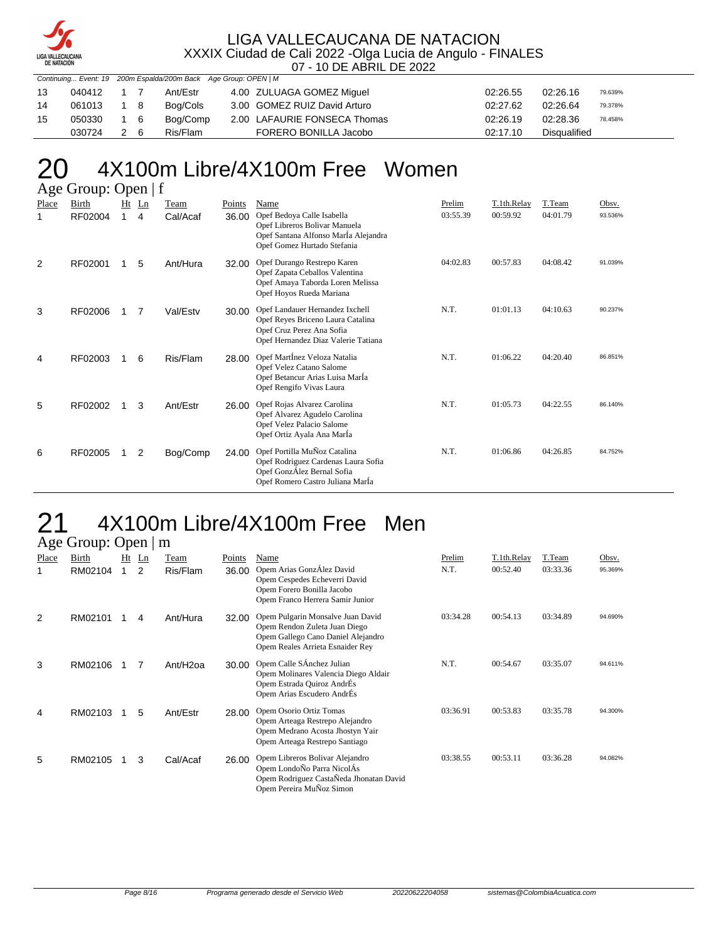

| Continuing Event: 19 200m Espalda/200m Back Age Group: OPEN   M |        |     |     |          |                              |          |                     |  |
|-----------------------------------------------------------------|--------|-----|-----|----------|------------------------------|----------|---------------------|--|
| 13                                                              | 040412 |     |     | Ant/Estr | 4.00 ZULUAGA GOMEZ Miquel    | 02:26.55 | 02:26.16<br>79.639% |  |
| 14                                                              | 061013 | 1 8 |     | Bog/Cols | 3.00 GOMEZ RUIZ David Arturo | 02:27.62 | 02:26.64<br>79.378% |  |
| 15                                                              | 050330 | 1 6 |     | Bog/Comp | 2.00 LAFAURIE FONSECA Thomas | 02:26.19 | 02:28.36<br>78.458% |  |
|                                                                 | 030724 |     | 2 6 | Ris/Flam | FORERO BONILLA Jacobo        | 02:17.10 | Disgualified        |  |

#### 20 4X100m Libre/4X100m Free Women  $\Delta$ ge  $\mathcal{L}$

|       | $\Delta g$ c Oroup. Open   1 |   |         |          |        |                                                                                                                                          |          |             |          |         |
|-------|------------------------------|---|---------|----------|--------|------------------------------------------------------------------------------------------------------------------------------------------|----------|-------------|----------|---------|
| Place | <b>Birth</b>                 |   | $Ht$ Ln | Team     | Points | Name                                                                                                                                     | Prelim   | T.1th.Relay | T.Team   | Obsv.   |
| 1     | RF02004                      | 1 | 4       | Cal/Acaf | 36.00  | Opef Bedoya Calle Isabella<br>Opef Libreros Bolivar Manuela<br>Opef Santana Alfonso Marla Alejandra<br>Opef Gomez Hurtado Stefania       | 03:55.39 | 00:59.92    | 04:01.79 | 93.536% |
| 2     | RF02001                      |   | 5       | Ant/Hura | 32.00  | Opef Durango Restrepo Karen<br>Opef Zapata Ceballos Valentina<br>Opef Amaya Taborda Loren Melissa<br>Opef Hoyos Rueda Mariana            | 04:02.83 | 00:57.83    | 04:08.42 | 91.039% |
| 3     | RF02006                      | 1 | 7       | Val/Estv | 30.00  | Opef Landauer Hernandez Ixchell<br>Opef Reyes Briceno Laura Catalina<br>Opef Cruz Perez Ana Sofia<br>Opef Hernandez Diaz Valerie Tatiana | N.T.     | 01:01.13    | 04:10.63 | 90.237% |
| 4     | RF02003                      | 1 | 6       | Ris/Flam | 28.00  | Opef MartÍnez Veloza Natalia<br>Opef Velez Catano Salome<br>Opef Betancur Arias Luisa Marla<br>Opef Rengifo Vivas Laura                  | N.T.     | 01:06.22    | 04:20.40 | 86.851% |
| 5     | RF02002                      | 1 | 3       | Ant/Estr | 26.00  | Opef Rojas Alvarez Carolina<br>Opef Alvarez Agudelo Carolina<br>Opef Velez Palacio Salome<br>Opef Ortiz Ayala Ana Marla                  | N.T.     | 01:05.73    | 04:22.55 | 86.140% |
| 6     | RF02005                      |   | 2       | Bog/Comp | 24.00  | Opef Portilla MuÑoz Catalina<br>Opef Rodriguez Cardenas Laura Sofia<br>Opef GonzÁlez Bernal Sofia<br>Opef Romero Castro Juliana Marla    | N.T.     | 01:06.86    | 04:26.85 | 84.752% |

#### 21 4X100m Libre/4X100m Free Men Age Group: Open | m

|       | $T_{\rm SC}$ Oroup. Open $\parallel$ |    |    |          |        |                                                                                                                                              |          |             |          |         |
|-------|--------------------------------------|----|----|----------|--------|----------------------------------------------------------------------------------------------------------------------------------------------|----------|-------------|----------|---------|
| Place | Birth                                | Ht | Ln | Team     | Points | Name                                                                                                                                         | Prelim   | T.1th.Relay | T.Team   | Obsv.   |
|       | RM02104                              |    | 2  | Ris/Flam | 36.00  | Opem Arias GonzÁlez David<br>Opem Cespedes Echeverri David<br>Opem Forero Bonilla Jacobo<br>Opem Franco Herrera Samir Junior                 | N.T.     | 00:52.40    | 03:33.36 | 95.369% |
| 2     | RM02101                              |    | 4  | Ant/Hura | 32.00  | Opem Pulgarin Monsalve Juan David<br>Opem Rendon Zuleta Juan Diego<br>Opem Gallego Cano Daniel Alejandro<br>Opem Reales Arrieta Esnaider Rey | 03:34.28 | 00:54.13    | 03:34.89 | 94.690% |
| 3     | RM02106                              |    | 7  | Ant/H2oa | 30.00  | Opem Calle SÁnchez Julian<br>Opem Molinares Valencia Diego Aldair<br>Opem Estrada Quiroz AndrÉs<br>Opem Arias Escudero AndrÉs                | N.T.     | 00:54.67    | 03:35.07 | 94.611% |
| 4     | RM02103                              |    | 5  | Ant/Estr | 28.00  | Opem Osorio Ortiz Tomas<br>Opem Arteaga Restrepo Alejandro<br>Opem Medrano Acosta Jhostyn Yair<br>Opem Arteaga Restrepo Santiago             | 03:36.91 | 00:53.83    | 03:35.78 | 94.300% |
| 5     | RM02105                              |    | 3  | Cal/Acaf | 26.00  | Opem Libreros Bolivar Alejandro<br>Opem LondoÑo Parra NicolÁs<br>Opem Rodriguez CastaÑeda Jhonatan David<br>Opem Pereira MuÑoz Simon         | 03:38.55 | 00:53.11    | 03:36.28 | 94.082% |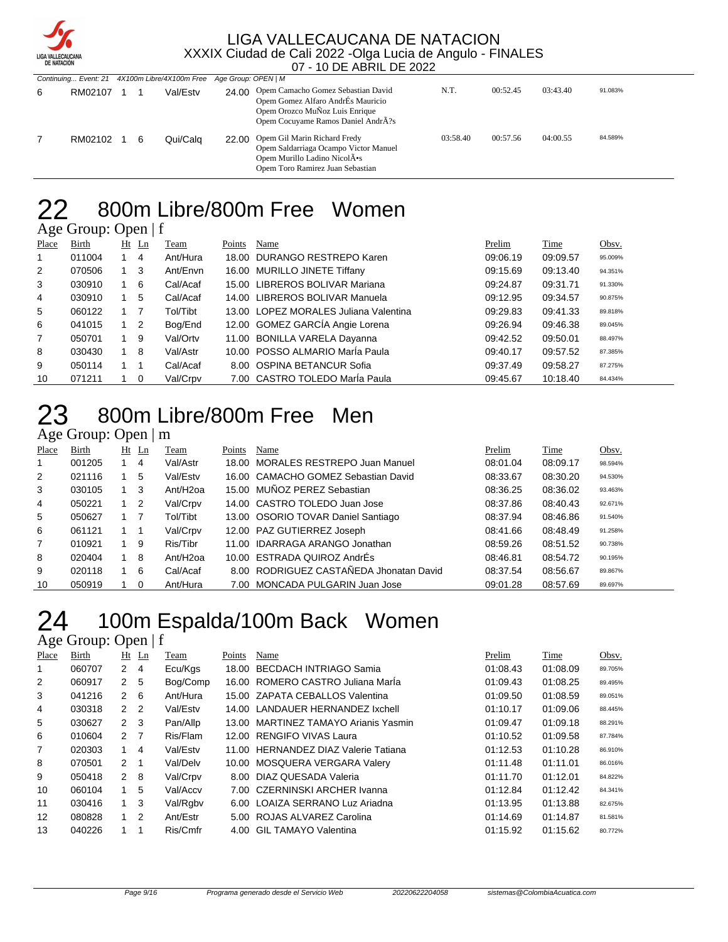

| <b>DE NATACION</b> |         |  |   |                                               |                     |                                                                                                                                                                       |          |          |          |         |
|--------------------|---------|--|---|-----------------------------------------------|---------------------|-----------------------------------------------------------------------------------------------------------------------------------------------------------------------|----------|----------|----------|---------|
|                    |         |  |   | Continuing Event: 21 4X100m Libre/4X100m Free | Age Group: OPEN   M |                                                                                                                                                                       |          |          |          |         |
| 6                  | RM02107 |  |   | Val/Estv                                      |                     | 24.00 Opem Camacho Gomez Sebastian David<br>Opem Gomez Alfaro AndrÉs Mauricio<br>Opem Orozco MuÑoz Luis Enrique<br>Opem Cocuyame Ramos Daniel Andr $\tilde{A}$ ?s     | N.T.     | 00:52.45 | 03:43.40 | 91.083% |
|                    | RM02102 |  | 6 | Qui/Calg                                      |                     | 22.00 Opem Gil Marin Richard Fredy<br>Opem Saldarriaga Ocampo Victor Manuel<br>Opem Murillo Ladino Nicol $\bar{A}$ <sup>*</sup> s<br>Opem Toro Ramirez Juan Sebastian | 03:58.40 | 00:57.56 | 04:00.55 | 84.589% |

# 22 800m Libre/800m Free Women

Age Group: Open | f

| Place          | Birth  |             | $Ht$ Ln                 | Team     | Points | Name                                  | Prelim   | Time     | Obsv.   |
|----------------|--------|-------------|-------------------------|----------|--------|---------------------------------------|----------|----------|---------|
| 1              | 011004 |             | 4                       | Ant/Hura |        | 18.00 DURANGO RESTREPO Karen          | 09:06.19 | 09:09.57 | 95.009% |
| 2              | 070506 | $1 \quad 3$ |                         | Ant/Envn |        | 16.00 MURILLO JINETE Tiffany          | 09:15.69 | 09:13.40 | 94.351% |
| 3              | 030910 | 1 6         |                         | Cal/Acaf |        | 15.00 LIBREROS BOLIVAR Mariana        | 09:24.87 | 09:31.71 | 91.330% |
| 4              | 030910 |             | 5                       | Cal/Acaf |        | 14.00 LIBREROS BOLIVAR Manuela        | 09:12.95 | 09:34.57 | 90.875% |
| 5              | 060122 |             |                         | Tol/Tibt |        | 13.00 LOPEZ MORALES Juliana Valentina | 09:29.83 | 09:41.33 | 89.818% |
| 6              | 041015 | $1\quad 2$  |                         | Bog/End  |        | 12.00 GOMEZ GARCÍA Angie Lorena       | 09:26.94 | 09:46.38 | 89.045% |
| $\overline{7}$ | 050701 | 19          |                         | Val/Ortv |        | 11.00 BONILLA VARELA Dayanna          | 09:42.52 | 09:50.01 | 88.497% |
| 8              | 030430 | $1 \quad 8$ |                         | Val/Astr |        | 10.00 POSSO ALMARIO Marla Paula       | 09:40.17 | 09:57.52 | 87.385% |
| 9              | 050114 |             |                         | Cal/Acaf |        | 8.00 OSPINA BETANCUR Sofia            | 09:37.49 | 09:58.27 | 87.275% |
| 10             | 071211 |             | $\overline{\mathbf{0}}$ | Val/Crpv |        | 7.00 CASTRO TOLEDO Maria Paula        | 09:45.67 | 10:18.40 | 84.434% |

# 800m Libre/800m Free Men

#### Age Group: Open | m

| Place          | Birth  |             | $Ht$ Ln  | Team                 | Points | Name                                    | Prelim   | Time     | Obsv.   |
|----------------|--------|-------------|----------|----------------------|--------|-----------------------------------------|----------|----------|---------|
|                | 001205 |             | 4        | Val/Astr             | 18.00  | MORALES RESTREPO Juan Manuel            | 08:01.04 | 08:09.17 | 98.594% |
| 2              | 021116 |             | 5        | Val/Estv             |        | 16.00 CAMACHO GOMEZ Sebastian David     | 08:33.67 | 08:30.20 | 94.530% |
| 3              | 030105 | $1 \quad 3$ |          | Ant/H <sub>20a</sub> |        | 15.00 MUÑOZ PEREZ Sebastian             | 08:36.25 | 08:36.02 | 93.463% |
| 4              | 050221 | $1\quad 2$  |          | Val/Crpv             |        | 14.00 CASTRO TOLEDO Juan Jose           | 08:37.86 | 08:40.43 | 92.671% |
| 5              | 050627 |             |          | Tol/Tibt             |        | 13.00 OSORIO TOVAR Daniel Santiago      | 08:37.94 | 08:46.86 | 91.540% |
| 6              | 061121 | $1 \quad 1$ |          | Val/Crpv             |        | 12.00 PAZ GUTIERREZ Joseph              | 08:41.66 | 08:48.49 | 91.258% |
| $\overline{7}$ | 010921 | 1           | 9        | Ris/Tibr             |        | 11.00 IDARRAGA ARANGO Jonathan          | 08:59.26 | 08:51.52 | 90.738% |
| 8              | 020404 |             | -8       | Ant/H <sub>20a</sub> |        | 10.00 ESTRADA QUIROZ AndrÉs             | 08:46.81 | 08:54.72 | 90.195% |
| 9              | 020118 |             | -6       | Cal/Acaf             |        | 8.00 RODRIGUEZ CASTAÑEDA Jhonatan David | 08:37.54 | 08:56.67 | 89.867% |
| 10             | 050919 |             | $\Omega$ | Ant/Hura             |        | 7.00 MONCADA PULGARIN Juan Jose         | 09:01.28 | 08:57.69 | 89.697% |

# 24 100m Espalda/100m Back Women

| Place | Birth  |                      | $Ht$ Ln        | Team     | Points | Name                                 | Prelim   | <b>Time</b> | Obsv.   |
|-------|--------|----------------------|----------------|----------|--------|--------------------------------------|----------|-------------|---------|
|       | 060707 | $\mathbf{2}$         | 4              | Ecu/Kgs  |        | 18.00 BECDACH INTRIAGO Samia         | 01:08.43 | 01:08.09    | 89.705% |
| 2     | 060917 | 2                    | 5              | Bog/Comp |        | 16.00 ROMERO CASTRO Juliana Marla    | 01:09.43 | 01:08.25    | 89.495% |
| 3     | 041216 | $\mathcal{P} \equiv$ | - 6            | Ant/Hura |        | 15.00 ZAPATA CEBALLOS Valentina      | 01:09.50 | 01:08.59    | 89.051% |
| 4     | 030318 | $\mathcal{P} \equiv$ | $\overline{2}$ | Val/Estv |        | 14.00 LANDAUER HERNANDEZ Ixchell     | 01:10.17 | 01:09.06    | 88.445% |
| 5     | 030627 | 2                    | 3              | Pan/Allp |        | 13.00 MARTINEZ TAMAYO Arianis Yasmin | 01:09.47 | 01:09.18    | 88.291% |
| 6     | 010604 | $\mathcal{P} \equiv$ | - 7            | Ris/Flam |        | 12.00 RENGIFO VIVAS Laura            | 01:10.52 | 01:09.58    | 87.784% |
| 7     | 020303 |                      | 4              | Val/Estv |        | 11.00 HERNANDEZ DIAZ Valerie Tatiana | 01:12.53 | 01:10.28    | 86.910% |
| 8     | 070501 | $\mathcal{P}$        | -1             | Val/Delv |        | 10.00 MOSQUERA VERGARA Valery        | 01:11.48 | 01:11.01    | 86.016% |
| 9     | 050418 | $\mathcal{P}$        | -8             | Val/Crpv |        | 8.00 DIAZ QUESADA Valeria            | 01:11.70 | 01:12.01    | 84.822% |
| 10    | 060104 |                      | 5              | Val/Accv |        | 7.00 CZERNINSKI ARCHER Ivanna        | 01:12.84 | 01:12.42    | 84.341% |
| 11    | 030416 | 1                    | 3              | Val/Rgbv |        | 6.00 LOAIZA SERRANO Luz Ariadna      | 01:13.95 | 01:13.88    | 82.675% |
| 12    | 080828 | 1                    | $\overline{2}$ | Ant/Estr |        | 5.00 ROJAS ALVAREZ Carolina          | 01:14.69 | 01:14.87    | 81.581% |
| 13    | 040226 |                      |                | Ris/Cmfr |        | 4.00 GIL TAMAYO Valentina            | 01:15.92 | 01:15.62    | 80.772% |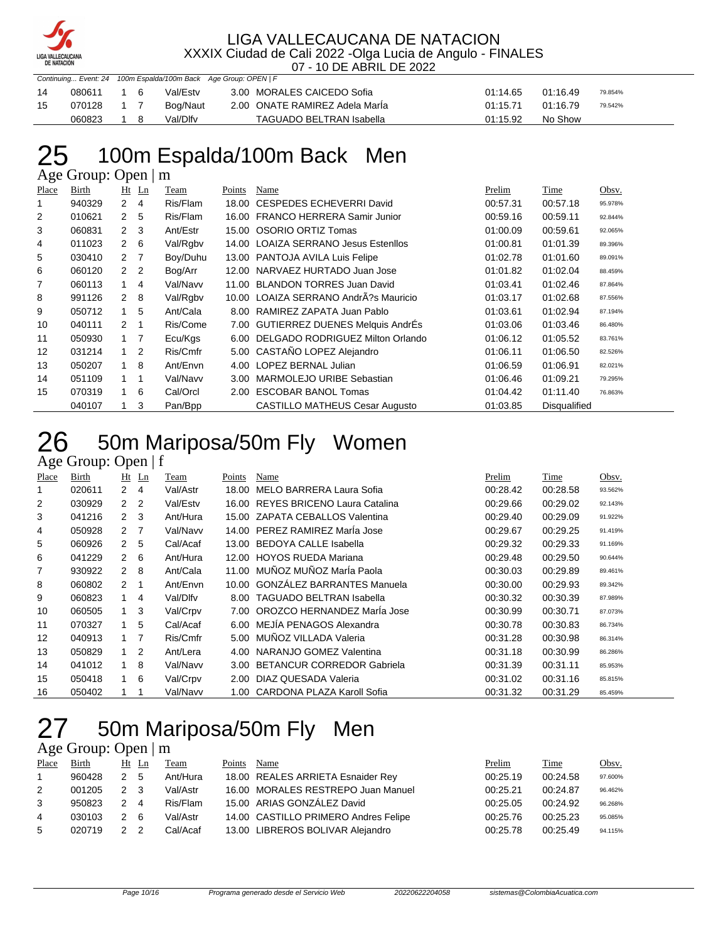

07 - 10 DE ABRIL DE 2022

|     |        |    | Commang Event. Explorer Loparda, Toom Back Ago Group. Or Erv pr |          |                                |          |          |         |  |
|-----|--------|----|-----------------------------------------------------------------|----------|--------------------------------|----------|----------|---------|--|
| -14 | 080611 | 16 |                                                                 | Val/Estv | 3.00 MORALES CAICEDO Sofia     | 01:14.65 | 01:16.49 | 79.854% |  |
| 15  | 070128 |    |                                                                 | Bog/Naut | 2.00 ONATE RAMIREZ Adela Maria | 01:15.71 | 01:16.79 | 79.542% |  |
|     | 060823 |    |                                                                 | Val/Dlfv | TAGUADO BELTRAN Isabella       | 01:15.92 | No Show  |         |  |

# 25 100m Espalda/100m Back Men

Continuing... Event: 24 100m Espalda/100m Back Age Group: OPEN | F

Age Group: Open | m

| Place          | Birth  |               | $Ht$ Ln        | Team     | Points | Name                                   | Prelim   | Time         | Obsv.   |
|----------------|--------|---------------|----------------|----------|--------|----------------------------------------|----------|--------------|---------|
|                | 940329 | 2             | 4              | Ris/Flam | 18.00  | CESPEDES ECHEVERRI David               | 00:57.31 | 00:57.18     | 95.978% |
| 2              | 010621 | $\mathcal{P}$ | 5              | Ris/Flam | 16.00  | <b>FRANCO HERRERA Samir Junior</b>     | 00:59.16 | 00:59.11     | 92.844% |
| 3              | 060831 | $\mathcal{P}$ | 3              | Ant/Estr | 15.00  | OSORIO ORTIZ Tomas                     | 01:00.09 | 00:59.61     | 92.065% |
| 4              | 011023 | 2             | 6              | Val/Rgbv | 14.00  | <b>LOAIZA SERRANO Jesus Estenllos</b>  | 01:00.81 | 01:01.39     | 89.396% |
| 5              | 030410 | 2             | $\overline{7}$ | Boy/Duhu |        | 13.00 PANTOJA AVILA Luis Felipe        | 01:02.78 | 01:01.60     | 89.091% |
| 6              | 060120 | $\mathcal{P}$ | 2              | Bog/Arr  | 12.00  | NARVAEZ HURTADO Juan Jose              | 01:01.82 | 01:02.04     | 88.459% |
| $\overline{7}$ | 060113 | $\mathbf{1}$  | 4              | Val/Navv | 11.00  | <b>BLANDON TORRES Juan David</b>       | 01:03.41 | 01:02.46     | 87.864% |
| 8              | 991126 | $\mathcal{P}$ | 8              | Val/Rgbv |        | 10.00 LOAIZA SERRANO AndrÂ?s Mauricio  | 01:03.17 | 01:02.68     | 87.556% |
| 9              | 050712 | 1             | 5              | Ant/Cala | 8.00   | RAMIREZ ZAPATA Juan Pablo              | 01:03.61 | 01:02.94     | 87.194% |
| 10             | 040111 | $\mathcal{P}$ | 1              | Ris/Come | 7.00   | <b>GUTIERREZ DUENES Melquis AndrEs</b> | 01:03.06 | 01:03.46     | 86.480% |
| 11             | 050930 | 1             | 7              | Ecu/Kgs  | 6.00   | DELGADO RODRIGUEZ Milton Orlando       | 01:06.12 | 01:05.52     | 83.761% |
| 12             | 031214 | $\mathbf{1}$  | 2              | Ris/Cmfr |        | 5.00 CASTAÑO LOPEZ Alejandro           | 01:06.11 | 01:06.50     | 82.526% |
| 13             | 050207 | 1             | 8              | Ant/Envn | 4.00   | LOPEZ BERNAL Julian                    | 01:06.59 | 01:06.91     | 82.021% |
| 14             | 051109 | $\mathbf{1}$  | 1              | Val/Navv | 3.00   | MARMOLEJO URIBE Sebastian              | 01:06.46 | 01:09.21     | 79.295% |
| 15             | 070319 | 1             | 6              | Cal/Orcl | 2.00   | <b>ESCOBAR BANOL Tomas</b>             | 01:04.42 | 01:11.40     | 76.863% |
|                | 040107 |               | 3              | Pan/Bpp  |        | <b>CASTILLO MATHEUS Cesar Augusto</b>  | 01:03.85 | Disqualified |         |

# 26 50m Mariposa/50m Fly Women

#### Age Group: Open | f

| Place | Birth  |                | $Ht$ Ln        | Team     | Points            | Name                               | Prelim   | Time     | Obsv.   |
|-------|--------|----------------|----------------|----------|-------------------|------------------------------------|----------|----------|---------|
|       | 020611 | $\mathbf{2}$   | 4              | Val/Astr | 18.00             | MELO BARRERA Laura Sofia           | 00:28.42 | 00:28.58 | 93.562% |
| 2     | 030929 | $\mathbf{2}$   | $\overline{2}$ | Val/Estv |                   | 16.00 REYES BRICENO Laura Catalina | 00:29.66 | 00:29.02 | 92.143% |
| 3     | 041216 | 2 <sub>3</sub> |                | Ant/Hura | 15.00             | ZAPATA CEBALLOS Valentina          | 00:29.40 | 00:29.09 | 91.922% |
| 4     | 050928 | $\mathbf{2}$   | $\overline{7}$ | Val/Navv |                   | 14.00 PEREZ RAMIREZ Marla Jose     | 00:29.67 | 00:29.25 | 91.419% |
| 5     | 060926 | $\mathbf{2}$   | 5              | Cal/Acaf | 13.00             | <b>BEDOYA CALLE Isabella</b>       | 00:29.32 | 00:29.33 | 91.169% |
| 6     | 041229 | 2              | - 6            | Ant/Hura | 12.00             | <b>HOYOS RUEDA Mariana</b>         | 00:29.48 | 00:29.50 | 90.644% |
| 7     | 930922 | $\overline{2}$ | 8              | Ant/Cala | 11.00             | MUÑOZ MUÑOZ MarÍa Paola            | 00:30.03 | 00:29.89 | 89.461% |
| 8     | 060802 | $\mathcal{P}$  | -1             | Ant/Envn |                   | 10.00 GONZALEZ BARRANTES Manuela   | 00:30.00 | 00:29.93 | 89.342% |
| 9     | 060823 | 1              | 4              | Val/Dlfv | 8.00              | <b>TAGUADO BELTRAN Isabella</b>    | 00:30.32 | 00:30.39 | 87.989% |
| 10    | 060505 | 1              | 3              | Val/Crpv | 7.00              | OROZCO HERNANDEZ Marla Jose        | 00:30.99 | 00:30.71 | 87.073% |
| 11    | 070327 | 1              | 5              | Cal/Acaf | 6.00              | MEJIA PENAGOS Alexandra            | 00:30.78 | 00:30.83 | 86.734% |
| 12    | 040913 |                | $\overline{7}$ | Ris/Cmfr | 5.00              | MUÑOZ VILLADA Valeria              | 00:31.28 | 00:30.98 | 86.314% |
| 13    | 050829 | 1              | $\overline{2}$ | Ant/Lera | 4.00              | NARANJO GOMEZ Valentina            | 00:31.18 | 00:30.99 | 86.286% |
| 14    | 041012 | 1.             | 8              | Val/Navv | 3.00 <sub>1</sub> | <b>BETANCUR CORREDOR Gabriela</b>  | 00:31.39 | 00:31.11 | 85.953% |
| 15    | 050418 | 1              | - 6            | Val/Crpv | 2.00              | DIAZ QUESADA Valeria               | 00:31.02 | 00:31.16 | 85.815% |
| 16    | 050402 |                |                | Val/Navv |                   | 1.00 CARDONA PLAZA Karoll Sofia    | 00:31.32 | 00:31.29 | 85.459% |

# 50m Mariposa/50m Fly Men

| Place | Birth  | Ht Ln |                | Team     | Points | Name                                 | Prelim   | <b>Time</b> | Obsv.   |
|-------|--------|-------|----------------|----------|--------|--------------------------------------|----------|-------------|---------|
|       | 960428 | 2 5   |                | Ant/Hura |        | 18.00 REALES ARRIETA Esnaider Rey    | 00:25.19 | 00:24.58    | 97.600% |
| 2     | 001205 | 2 3   |                | Val/Astr |        | 16.00 MORALES RESTREPO Juan Manuel   | 00:25.21 | 00:24.87    | 96.462% |
| 3     | 950823 | 2     | $\overline{4}$ | Ris/Flam |        | 15.00 ARIAS GONZÁLEZ David           | 00:25.05 | 00:24.92    | 96.268% |
| 4     | 030103 | 2 6   |                | Val/Astr |        | 14.00 CASTILLO PRIMERO Andres Felipe | 00:25.76 | 00:25.23    | 95.085% |
| 5     | 020719 |       |                | Cal/Acaf |        | 13.00 LIBREROS BOLIVAR Alejandro     | 00:25.78 | 00:25.49    | 94.115% |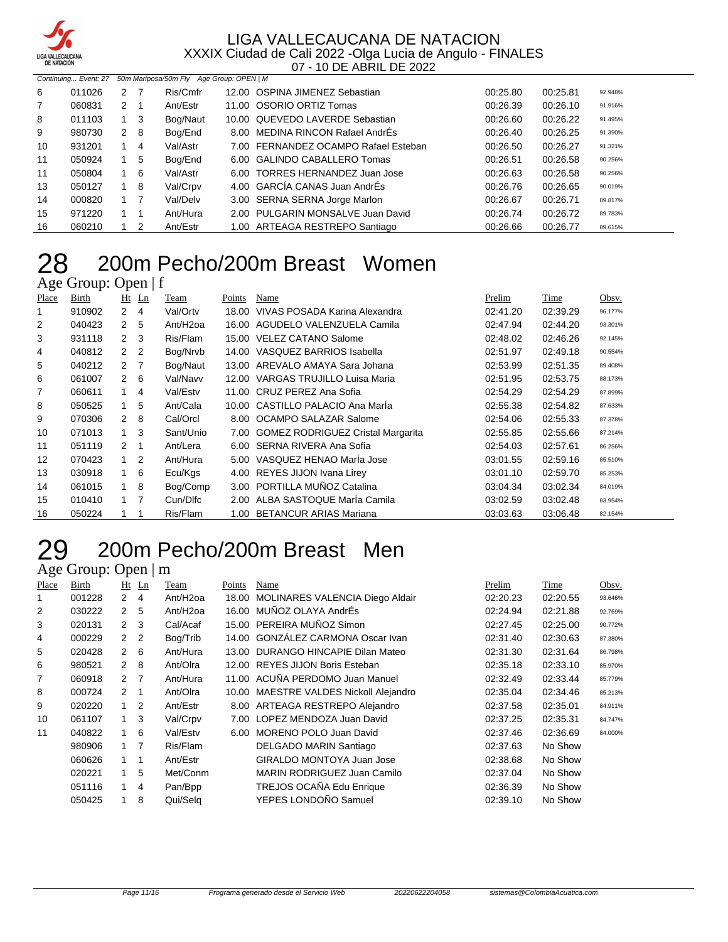

|    | 50m Mariposa/50m Fly Age Group: OPEN   M<br>Continuing Event: 27 |             |     |          |  |                                      |          |          |         |  |
|----|------------------------------------------------------------------|-------------|-----|----------|--|--------------------------------------|----------|----------|---------|--|
| 6  | 011026                                                           | 2           |     | Ris/Cmfr |  | 12.00 OSPINA JIMENEZ Sebastian       | 00:25.80 | 00:25.81 | 92.948% |  |
| 7  | 060831                                                           | 2           | -1  | Ant/Estr |  | 11.00 OSORIO ORTIZ Tomas             | 00:26.39 | 00:26.10 | 91.916% |  |
| 8  | 011103                                                           |             | -3  | Bog/Naut |  | 10.00 QUEVEDO LAVERDE Sebastian      | 00:26.60 | 00:26.22 | 91.495% |  |
| 9  | 980730                                                           | $2^{\circ}$ | - 8 | Bog/End  |  | 8.00 MEDINA RINCON Rafael AndrÉs     | 00:26.40 | 00:26.25 | 91.390% |  |
| 10 | 931201                                                           |             | 4   | Val/Astr |  | 7.00 FERNANDEZ OCAMPO Rafael Esteban | 00:26.50 | 00:26.27 | 91.321% |  |
| 11 | 050924                                                           |             | 5   | Bog/End  |  | 6.00 GALINDO CABALLERO Tomas         | 00:26.51 | 00:26.58 | 90.256% |  |
| 11 | 050804                                                           | $1\quad 6$  |     | Val/Astr |  | 6.00 TORRES HERNANDEZ Juan Jose      | 00:26.63 | 00:26.58 | 90.256% |  |
| 13 | 050127                                                           |             | 8   | Val/Crpv |  | 4.00 GARCIA CANAS Juan AndrÉs        | 00:26.76 | 00:26.65 | 90.019% |  |
| 14 | 000820                                                           |             |     | Val/Delv |  | 3.00 SERNA SERNA Jorge Marlon        | 00:26.67 | 00:26.71 | 89.817% |  |
| 15 | 971220                                                           | $1 \quad 1$ |     | Ant/Hura |  | 2.00 PULGARIN MONSALVE Juan David    | 00:26.74 | 00:26.72 | 89.783% |  |
| 16 | 060210                                                           |             | 2   | Ant/Estr |  | 1.00 ARTEAGA RESTREPO Santiago       | 00:26.66 | 00:26.77 | 89.615% |  |

# 200m Pecho/200m Breast Women

### Age Group: Open | f

| Place | Birth  | Ht             | $\mathbf{L}$ n | Team                 | Points | Name                                     | Prelim   | Time     | Obsv.   |
|-------|--------|----------------|----------------|----------------------|--------|------------------------------------------|----------|----------|---------|
|       | 910902 | $\mathbf{2}$   | $\overline{4}$ | Val/Ortv             | 18.00  | VIVAS POSADA Karina Alexandra            | 02:41.20 | 02:39.29 | 96.177% |
| 2     | 040423 | $2^{\circ}$    | 5              | Ant/H <sub>20a</sub> | 16.00  | AGUDELO VALENZUELA Camila                | 02:47.94 | 02:44.20 | 93.301% |
| 3     | 931118 | $2 \quad 3$    |                | Ris/Flam             | 15.00  | <b>VELEZ CATANO Salome</b>               | 02:48.02 | 02:46.26 | 92.145% |
| 4     | 040812 | 2 <sub>2</sub> |                | Bog/Nrvb             | 14.00  | VASQUEZ BARRIOS Isabella                 | 02:51.97 | 02:49.18 | 90.554% |
| 5     | 040212 | 2 <sub>7</sub> |                | Bog/Naut             | 13.00  | AREVALO AMAYA Sara Johana                | 02:53.99 | 02:51.35 | 89.408% |
| 6     | 061007 | $2 \quad 6$    |                | Val/Navv             | 12.00  | VARGAS TRUJILLO Luisa Maria              | 02:51.95 | 02:53.75 | 88.173% |
| 7     | 060611 | $\mathbf{1}$   | 4              | Val/Estv             |        | 11.00 CRUZ PEREZ Ana Sofia               | 02:54.29 | 02:54.29 | 87.899% |
| 8     | 050525 |                | 5              | Ant/Cala             |        | 10.00 CASTILLO PALACIO Ana Marla         | 02:55.38 | 02:54.82 | 87.633% |
| 9     | 070306 | $2 \quad 8$    |                | Cal/Orcl             |        | 8.00 OCAMPO SALAZAR Salome               | 02:54.06 | 02:55.33 | 87.378% |
| 10    | 071013 | $\mathbf{1}$   | 3              | Sant/Unio            | 7.00   | <b>GOMEZ RODRIGUEZ Cristal Margarita</b> | 02:55.85 | 02:55.66 | 87.214% |
| 11    | 051119 | $2 \quad 1$    |                | Ant/Lera             |        | 6.00 SERNA RIVERA Ana Sofia              | 02:54.03 | 02:57.61 | 86.256% |
| 12    | 070423 | $1\quad 2$     |                | Ant/Hura             |        | 5.00 VASQUEZ HENAO Marla Jose            | 03:01.55 | 02:59.16 | 85.510% |
| 13    | 030918 |                | 6              | Ecu/Kgs              | 4.00   | REYES JIJON Ivana Lirey                  | 03:01.10 | 02:59.70 | 85.253% |
| 14    | 061015 | $\mathbf{1}$   | 8              | Bog/Comp             | 3.00   | PORTILLA MUÑOZ Catalina                  | 03:04.34 | 03:02.34 | 84.019% |
| 15    | 010410 | $\mathbf{1}$   | 7              | Cun/Dlfc             | 2.00   | ALBA SASTOQUE MarÍa Camila               | 03:02.59 | 03:02.48 | 83.954% |
| 16    | 050224 |                |                | Ris/Flam             | 1.00   | <b>BETANCUR ARIAS Mariana</b>            | 03:03.63 | 03:06.48 | 82.154% |

# 200m Pecho/200m Breast Men

| Place          | Birth  |                | $Ht$ Ln        | Team     | Points | Name                                   | Prelim   | Time     | Obsv.   |
|----------------|--------|----------------|----------------|----------|--------|----------------------------------------|----------|----------|---------|
|                | 001228 | $\mathcal{P}$  | 4              | Ant/H2oa | 18.00  | MOLINARES VALENCIA Diego Aldair        | 02:20.23 | 02:20.55 | 93.646% |
| $\overline{2}$ | 030222 | $\overline{2}$ | 5              | Ant/H2oa | 16.00  | MUÑOZ OLAYA AndrÉs                     | 02:24.94 | 02:21.88 | 92.769% |
| 3              | 020131 | $\mathcal{P}$  | 3              | Cal/Acaf |        | 15.00 PEREIRA MUÑOZ Simon              | 02:27.45 | 02:25.00 | 90.772% |
| 4              | 000229 | 2              | $\overline{2}$ | Bog/Trib |        | 14.00 GONZÁLEZ CARMONA Oscar Ivan      | 02:31.40 | 02:30.63 | 87.380% |
| 5              | 020428 | $\mathcal{P}$  | 6              | Ant/Hura |        | 13.00 DURANGO HINCAPIE Dilan Mateo     | 02:31.30 | 02:31.64 | 86.798% |
| 6              | 980521 | $\mathcal{P}$  | 8              | Ant/Olra |        | 12.00 REYES JIJON Boris Esteban        | 02:35.18 | 02:33.10 | 85.970% |
| 7              | 060918 | $\mathcal{P}$  | $\overline{7}$ | Ant/Hura |        | 11.00 ACUÑA PERDOMO Juan Manuel        | 02:32.49 | 02:33.44 | 85.779% |
| 8              | 000724 | $\mathcal{P}$  | 1              | Ant/Olra |        | 10.00 MAESTRE VALDES Nickoll Alejandro | 02:35.04 | 02:34.46 | 85.213% |
| 9              | 020220 | 1              | 2              | Ant/Estr |        | 8.00 ARTEAGA RESTREPO Alejandro        | 02:37.58 | 02:35.01 | 84.911% |
| 10             | 061107 | 1              | 3              | Val/Crpv | 7.00   | LOPEZ MENDOZA Juan David               | 02:37.25 | 02:35.31 | 84.747% |
| 11             | 040822 |                | 6              | Val/Estv | 6.00   | MORENO POLO Juan David                 | 02:37.46 | 02:36.69 | 84.000% |
|                | 980906 | 1.             | 7              | Ris/Flam |        | DELGADO MARIN Santiago                 | 02:37.63 | No Show  |         |
|                | 060626 |                |                | Ant/Estr |        | GIRALDO MONTOYA Juan Jose              | 02:38.68 | No Show  |         |
|                | 020221 | 1              | 5              | Met/Conm |        | MARIN RODRIGUEZ Juan Camilo            | 02:37.04 | No Show  |         |
|                | 051116 |                | 4              | Pan/Bpp  |        | TREJOS OCAÑA Edu Enrique               | 02:36.39 | No Show  |         |
|                | 050425 |                | 8              | Qui/Sela |        | YEPES LONDOÑO Samuel                   | 02:39.10 | No Show  |         |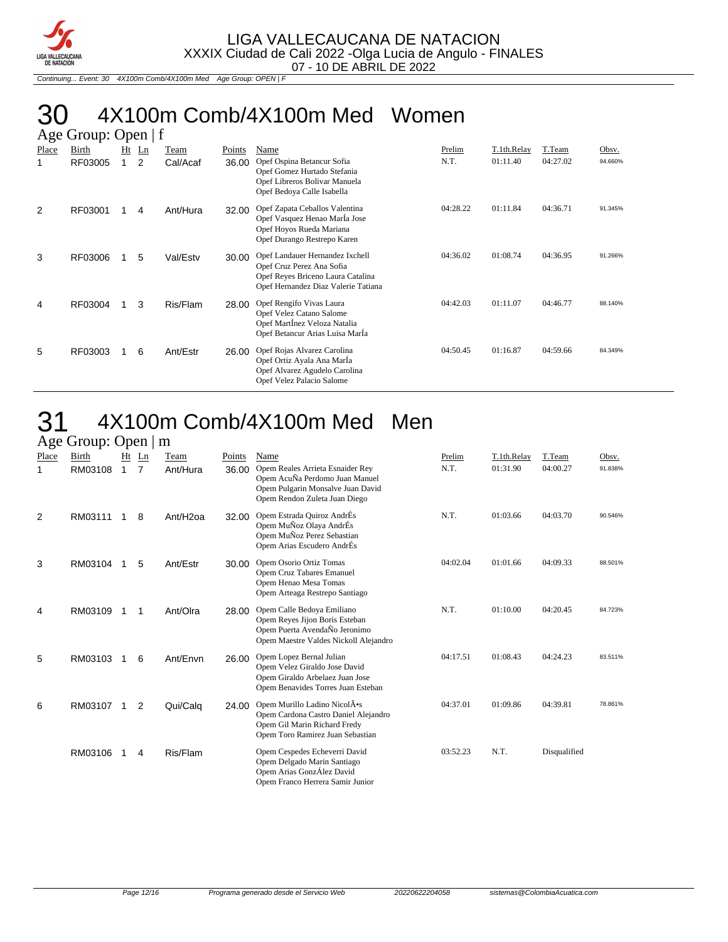

Continuing... Event: 30 4X100m Comb/4X100m Med Age Group: OPEN | F

# 30 4X100m Comb/4X100m Med Women

|       | Age Group: Open   f |   |       |          |        |                                                                                                                                          |          |             |          |         |  |  |  |  |
|-------|---------------------|---|-------|----------|--------|------------------------------------------------------------------------------------------------------------------------------------------|----------|-------------|----------|---------|--|--|--|--|
| Place | Birth               |   | Ht Ln | Team     | Points | Name                                                                                                                                     | Prelim   | T.1th.Relay | T.Team   | Obsv.   |  |  |  |  |
|       | RF03005             | 1 | 2     | Cal/Acaf | 36.00  | Opef Ospina Betancur Sofia<br>Opef Gomez Hurtado Stefania<br>Opef Libreros Bolivar Manuela<br>Opef Bedoya Calle Isabella                 | N.T.     | 01:11.40    | 04:27.02 | 94.660% |  |  |  |  |
| 2     | RF03001             |   | 4     | Ant/Hura | 32.00  | Opef Zapata Ceballos Valentina<br>Opef Vasquez Henao MarÍa Jose<br>Opef Hoyos Rueda Mariana<br>Opef Durango Restrepo Karen               | 04:28.22 | 01:11.84    | 04:36.71 | 91.345% |  |  |  |  |
| 3     | RF03006             |   | 5     | Val/Estv | 30.00  | Opef Landauer Hernandez Ixchell<br>Opef Cruz Perez Ana Sofia<br>Opef Reyes Briceno Laura Catalina<br>Opef Hernandez Diaz Valerie Tatiana | 04:36.02 | 01:08.74    | 04:36.95 | 91.266% |  |  |  |  |
| 4     | RF03004             |   | 3     | Ris/Flam | 28.00  | Opef Rengifo Vivas Laura<br>Opef Velez Catano Salome<br>Opef Martinez Veloza Natalia<br>Opef Betancur Arias Luisa MarÍa                  | 04:42.03 | 01:11.07    | 04:46.77 | 88.140% |  |  |  |  |
| 5     | RF03003             |   | 6     | Ant/Estr | 26.00  | Opef Rojas Alvarez Carolina<br>Opef Ortiz Ayala Ana Marla<br>Opef Alvarez Agudelo Carolina<br>Opef Velez Palacio Salome                  | 04:50.45 | 01:16.87    | 04:59.66 | 84.349% |  |  |  |  |

### 31 4X100m Comb/4X100m Med Men

| ب                     | л.               |         |                      |                      |                        |                                                                                                                                                                |                |                         |                    |                  |
|-----------------------|------------------|---------|----------------------|----------------------|------------------------|----------------------------------------------------------------------------------------------------------------------------------------------------------------|----------------|-------------------------|--------------------|------------------|
| Place<br>$\mathbf{1}$ | Birth<br>RM03108 | Ht<br>1 | Ln<br>$\overline{7}$ | Team<br>Ant/Hura     | <b>Points</b><br>36.00 | Name<br>Opem Reales Arrieta Esnaider Rey<br>Opem AcuÑa Perdomo Juan Manuel<br>Opem Pulgarin Monsalve Juan David<br>Opem Rendon Zuleta Juan Diego               | Prelim<br>N.T. | T.1th.Relay<br>01:31.90 | T.Team<br>04:00.27 | Obsv.<br>91.838% |
| 2                     | RM03111          |         | 8                    | Ant/H <sub>20a</sub> | 32.00                  | Opem Estrada Quiroz AndrÉs<br>Opem MuÑoz Olaya AndrÉs<br>Opem MuÑoz Perez Sebastian<br>Opem Arias Escudero AndrÉs                                              | N.T.           | 01:03.66                | 04:03.70           | 90.546%          |
| 3                     | RM03104          |         | 5                    | Ant/Estr             | 30.00                  | Opem Osorio Ortiz Tomas<br>Opem Cruz Tabares Emanuel<br>Opem Henao Mesa Tomas<br>Opem Arteaga Restrepo Santiago                                                | 04:02.04       | 01:01.66                | 04:09.33           | 88.501%          |
| 4                     | RM03109          |         | 1                    | Ant/Olra             | 28.00                  | Opem Calle Bedoya Emiliano<br>Opem Reyes Jijon Boris Esteban<br>Opem Puerta AvendaÑo Jeronimo<br>Opem Maestre Valdes Nickoll Alejandro                         | N.T.           | 01:10.00                | 04:20.45           | 84.723%          |
| 5                     | RM03103          |         | 6                    | Ant/Envn             | 26.00                  | Opem Lopez Bernal Julian<br>Opem Velez Giraldo Jose David<br>Opem Giraldo Arbelaez Juan Jose<br>Opem Benavides Torres Juan Esteban                             | 04:17.51       | 01:08.43                | 04:24.23           | 83.511%          |
| 6                     | RM03107          |         | 2                    | Qui/Calq             | 24.00                  | Opem Murillo Ladino Nicol $\bar{A}$ <sup>o</sup> s<br>Opem Cardona Castro Daniel Alejandro<br>Opem Gil Marin Richard Fredy<br>Opem Toro Ramirez Juan Sebastian | 04:37.01       | 01:09.86                | 04:39.81           | 78.861%          |
|                       | RM03106          |         | 4                    | Ris/Flam             |                        | Opem Cespedes Echeverri David<br>Opem Delgado Marin Santiago<br>Opem Arias GonzÁlez David<br>Opem Franco Herrera Samir Junior                                  | 03:52.23       | N.T.                    | Disqualified       |                  |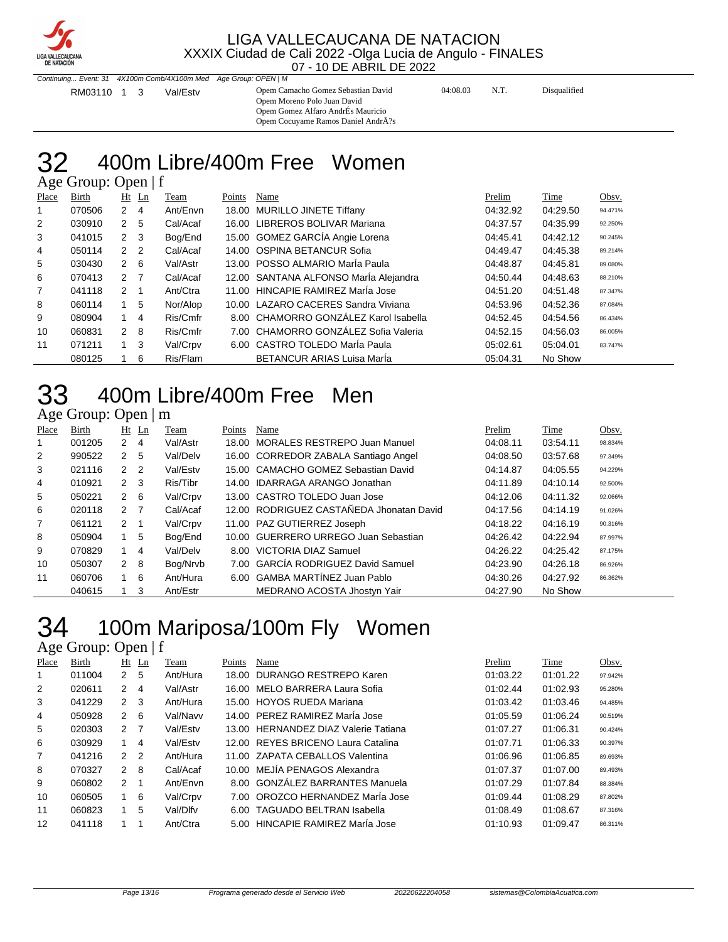

Continuing... Event: 31 4X100m Comb/4X100m Med Age Group: OPEN | M RM03110 1 3 Val/Estv Opem Camacho Gomez Sebastian David 04:08.03 N.T. Disqualified Opem Moreno Polo Juan David Opem Gomez Alfaro AndrÉs Mauricio Opem Cocuyame Ramos Daniel AndrÃ?s

#### 400m Libre/400m Free Women Age Group: Open | f

| Place          | Birth  |                | $Ht$ Ln        | Team     | Points | Name                                  | Prelim   | <b>Time</b> | Obsv.   |
|----------------|--------|----------------|----------------|----------|--------|---------------------------------------|----------|-------------|---------|
|                | 070506 | $2 \quad 4$    |                | Ant/Envn |        | 18.00 MURILLO JINETE Tiffany          | 04:32.92 | 04:29.50    | 94.471% |
| $\overline{2}$ | 030910 | 2 <sub>5</sub> |                | Cal/Acaf |        | 16.00 LIBREROS BOLIVAR Mariana        | 04:37.57 | 04:35.99    | 92.250% |
| 3              | 041015 | 2 <sub>3</sub> |                | Bog/End  |        | 15.00 GOMEZ GARCÍA Angie Lorena       | 04:45.41 | 04:42.12    | 90.245% |
| 4              | 050114 | 2 <sub>2</sub> |                | Cal/Acaf |        | 14.00 OSPINA BETANCUR Sofia           | 04:49.47 | 04:45.38    | 89.214% |
| 5              | 030430 | $2\quad 6$     |                | Val/Astr |        | 13.00 POSSO ALMARIO Maria Paula       | 04:48.87 | 04:45.81    | 89.080% |
| 6              | 070413 | 2 7            |                | Cal/Acaf |        | 12.00 SANTANA ALFONSO María Alejandra | 04:50.44 | 04:48.63    | 88.210% |
| $\overline{7}$ | 041118 | $2 \quad 1$    |                | Ant/Ctra |        | 11.00 HINCAPIE RAMIREZ Marla Jose     | 04:51.20 | 04:51.48    | 87.347% |
| 8              | 060114 | 1              | 5              | Nor/Alop |        | 10.00 LAZARO CACERES Sandra Viviana   | 04:53.96 | 04:52.36    | 87.084% |
| 9              | 080904 | $1 \quad$      | $\overline{4}$ | Ris/Cmfr |        | 8.00 CHAMORRO GONZÁLEZ Karol Isabella | 04:52.45 | 04:54.56    | 86.434% |
| 10             | 060831 | $2 \quad 8$    |                | Ris/Cmfr |        | 7.00 CHAMORRO GONZÁLEZ Sofia Valeria  | 04:52.15 | 04:56.03    | 86.005% |
| 11             | 071211 | $1 \quad 3$    |                | Val/Crpv |        | 6.00 CASTRO TOLEDO MarÍa Paula        | 05:02.61 | 05:04.01    | 83.747% |
|                | 080125 |                | 6              | Ris/Flam |        | <b>BETANCUR ARIAS Luisa Maria</b>     | 05:04.31 | No Show     |         |

# 400m Libre/400m Free Men

### Age Group: Open | m

| Place | Birth  |                | Ht Ln | Team     | Points | Name                                     | Prelim   | Time     | Obsv.   |
|-------|--------|----------------|-------|----------|--------|------------------------------------------|----------|----------|---------|
| 1     | 001205 | $2 \quad 4$    |       | Val/Astr | 18.00  | <b>MORALES RESTREPO Juan Manuel</b>      | 04:08.11 | 03:54.11 | 98.834% |
| 2     | 990522 | 2              | -5    | Val/Delv |        | 16.00 CORREDOR ZABALA Santiago Angel     | 04:08.50 | 03:57.68 | 97.349% |
| 3     | 021116 | 2 <sub>2</sub> |       | Val/Estv |        | 15.00 CAMACHO GOMEZ Sebastian David      | 04:14.87 | 04:05.55 | 94.229% |
| 4     | 010921 | $2 \quad 3$    |       | Ris/Tibr |        | 14.00 IDARRAGA ARANGO Jonathan           | 04:11.89 | 04:10.14 | 92.500% |
| 5     | 050221 | $2 \quad 6$    |       | Val/Crpv |        | 13.00 CASTRO TOLEDO Juan Jose            | 04:12.06 | 04:11.32 | 92.066% |
| 6     | 020118 | 2 <sub>7</sub> |       | Cal/Acaf |        | 12.00 RODRIGUEZ CASTAÑEDA Jhonatan David | 04:17.56 | 04:14.19 | 91.026% |
| 7     | 061121 | $2 \quad 1$    |       | Val/Crpv |        | 11.00 PAZ GUTIERREZ Joseph               | 04:18.22 | 04:16.19 | 90.316% |
| 8     | 050904 | 1              | 5     | Bog/End  |        | 10.00 GUERRERO URREGO Juan Sebastian     | 04:26.42 | 04:22.94 | 87.997% |
| 9     | 070829 |                | 4     | Val/Delv |        | 8.00 VICTORIA DIAZ Samuel                | 04:26.22 | 04:25.42 | 87.175% |
| 10    | 050307 | 2 8            |       | Bog/Nrvb |        | 7.00 GARCÍA RODRIGUEZ David Samuel       | 04:23.90 | 04:26.18 | 86.926% |
| 11    | 060706 |                | 6     | Ant/Hura |        | 6.00 GAMBA MARTINEZ Juan Pablo           | 04:30.26 | 04:27.92 | 86.362% |
|       | 040615 |                | 3     | Ant/Estr |        | MEDRANO ACOSTA Jhostyn Yair              | 04:27.90 | No Show  |         |

# 100m Mariposa/100m Fly Women

| Place          | <b>Birth</b> |                      | $Ht$ Ln        | Team     | Points | Name                                 | Prelim   | Time     | Obsv.   |
|----------------|--------------|----------------------|----------------|----------|--------|--------------------------------------|----------|----------|---------|
| 1              | 011004       | 2                    | -5             | Ant/Hura |        | 18.00 DURANGO RESTREPO Karen         | 01:03.22 | 01:01.22 | 97.942% |
| 2              | 020611       | 2                    | 4              | Val/Astr |        | 16.00 MELO BARRERA Laura Sofia       | 01:02.44 | 01:02.93 | 95.280% |
| 3              | 041229       | 2                    | -3             | Ant/Hura |        | 15.00 HOYOS RUEDA Mariana            | 01:03.42 | 01:03.46 | 94.485% |
| 4              | 050928       | 2                    | - 6            | Val/Navv |        | 14.00 PEREZ RAMIREZ Marla Jose       | 01:05.59 | 01:06.24 | 90.519% |
| 5              | 020303       | $\mathcal{P} \equiv$ | - 7            | Val/Estv |        | 13.00 HERNANDEZ DIAZ Valerie Tatiana | 01:07.27 | 01:06.31 | 90.424% |
| 6              | 030929       |                      | 4              | Val/Estv |        | 12.00 REYES BRICENO Laura Catalina   | 01:07.71 | 01:06.33 | 90.397% |
| $\overline{7}$ | 041216       | $\mathcal{P}$        | $\overline{2}$ | Ant/Hura |        | 11.00 ZAPATA CEBALLOS Valentina      | 01:06.96 | 01:06.85 | 89.693% |
| 8              | 070327       | $\mathcal{P}$        | -8             | Cal/Acaf |        | 10.00 MEJÍA PENAGOS Alexandra        | 01:07.37 | 01:07.00 | 89.493% |
| 9              | 060802       | $\mathcal{P}$        | -1             | Ant/Envn |        | 8.00 GONZÁLEZ BARRANTES Manuela      | 01:07.29 | 01:07.84 | 88.384% |
| 10             | 060505       |                      | 6              | Val/Crpv |        | 7.00 OROZCO HERNANDEZ María Jose     | 01:09.44 | 01:08.29 | 87.802% |
| 11             | 060823       |                      | 5              | Val/Dlfv |        | 6.00 TAGUADO BELTRAN Isabella        | 01:08.49 | 01:08.67 | 87.316% |
| 12             | 041118       |                      |                | Ant/Ctra |        | 5.00 HINCAPIE RAMIREZ Marla Jose     | 01:10.93 | 01:09.47 | 86.311% |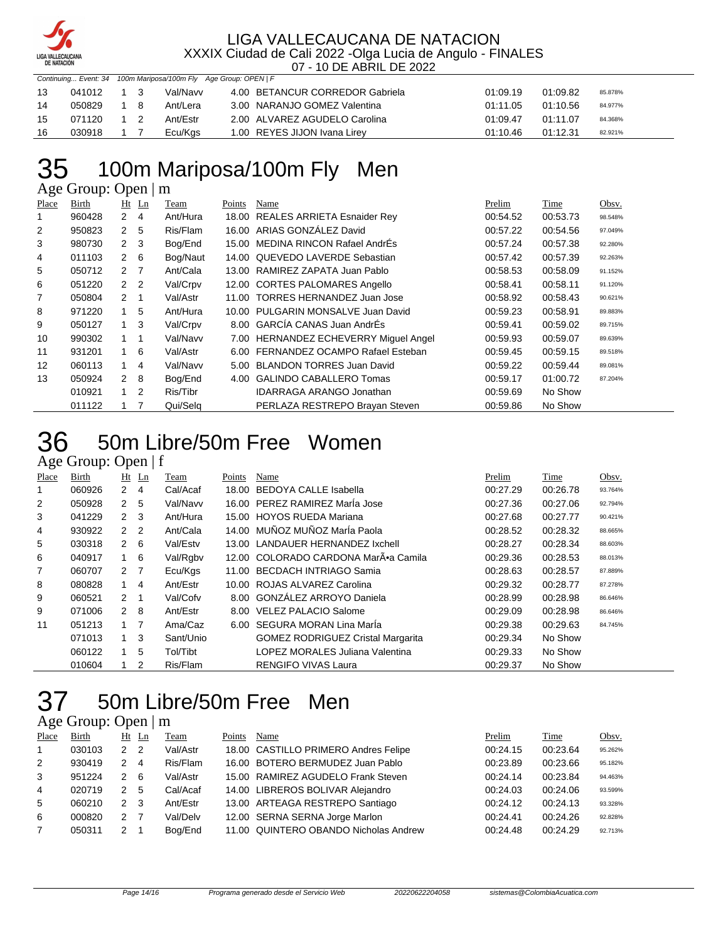

| Continuing Event: 34 100m Mariposa/100m Fly Age Group: OPEN   F |            |  |           |          |                                 |          |          |         |  |
|-----------------------------------------------------------------|------------|--|-----------|----------|---------------------------------|----------|----------|---------|--|
| 13                                                              | 041012 1 3 |  |           | Val/Navv | 4.00 BETANCUR CORREDOR Gabriela | 01:09.19 | 01:09.82 | 85.878% |  |
| 14                                                              | 050829     |  | 18        | Ant/Lera | 3.00 NARANJO GOMEZ Valentina    | 01:11.05 | 01:10.56 | 84.977% |  |
| 15                                                              | 071120     |  | $1\quad2$ | Ant/Estr | 2.00 ALVAREZ AGUDELO Carolina   | 01:09.47 | 01:11.07 | 84.368% |  |
| 16                                                              | 030918     |  |           | Ecu/Kgs  | 1.00 REYES JIJON Ivana Lirey    | 01:10.46 | 01:12.31 | 82.921% |  |

# 35 100m Mariposa/100m Fly Men

Age Group: Open | m

| Place | <b>Birth</b> |                | $Ht$ Ln        | Team     | Points | Name                                  | Prelim   | Time     | Obsv.   |
|-------|--------------|----------------|----------------|----------|--------|---------------------------------------|----------|----------|---------|
|       | 960428       | $\overline{2}$ | 4              | Ant/Hura | 18.00  | <b>REALES ARRIETA Esnaider Rey</b>    | 00:54.52 | 00:53.73 | 98.548% |
| 2     | 950823       | 2              | 5              | Ris/Flam | 16.00  | ARIAS GONZÁLEZ David                  | 00:57.22 | 00:54.56 | 97.049% |
| 3     | 980730       | $2 \quad 3$    |                | Bog/End  |        | 15.00 MEDINA RINCON Rafael AndrEs     | 00:57.24 | 00:57.38 | 92.280% |
| 4     | 011103       | 2              | 6              | Bog/Naut |        | 14.00 QUEVEDO LAVERDE Sebastian       | 00:57.42 | 00:57.39 | 92.263% |
| 5     | 050712       | $2^{\circ}$    | $\overline{7}$ | Ant/Cala | 13.00  | RAMIREZ ZAPATA Juan Pablo             | 00:58.53 | 00:58.09 | 91.152% |
| 6     | 051220       | 2 <sub>2</sub> |                | Val/Crpv |        | 12.00 CORTES PALOMARES Angello        | 00:58.41 | 00:58.11 | 91.120% |
| 7     | 050804       | $\mathcal{P}$  |                | Val/Astr | 11.00  | TORRES HERNANDEZ Juan Jose            | 00:58.92 | 00:58.43 | 90.621% |
| 8     | 971220       | 1              | 5              | Ant/Hura |        | 10.00 PULGARIN MONSALVE Juan David    | 00:59.23 | 00:58.91 | 89.883% |
| 9     | 050127       | 1              | 3              | Val/Crpv |        | 8.00 GARCÍA CANAS Juan AndrÉs         | 00:59.41 | 00:59.02 | 89.715% |
| 10    | 990302       | $1 \quad$      | 1              | Val/Navv |        | 7.00 HERNANDEZ ECHEVERRY Miguel Angel | 00:59.93 | 00:59.07 | 89.639% |
| 11    | 931201       | $1 \quad$      | - 6            | Val/Astr |        | 6.00 FERNANDEZ OCAMPO Rafael Esteban  | 00:59.45 | 00:59.15 | 89.518% |
| 12    | 060113       | 1              | 4              | Val/Navv |        | 5.00 BLANDON TORRES Juan David        | 00:59.22 | 00:59.44 | 89.081% |
| 13    | 050924       | 2              | -8             | Bog/End  | 4.00   | <b>GALINDO CABALLERO Tomas</b>        | 00:59.17 | 01:00.72 | 87.204% |
|       | 010921       | $1 \quad$      | $\overline{2}$ | Ris/Tibr |        | <b>IDARRAGA ARANGO Jonathan</b>       | 00:59.69 | No Show  |         |
|       | 011122       |                |                | Qui/Selg |        | PERLAZA RESTREPO Brayan Steven        | 00:59.86 | No Show  |         |

### 50m Libre/50m Free Women

### Age Group: Open | f

| Place | Birth  | Ht             | Ln | Team      | Points | Name                                     | Prelim   | Time     | Obsv.   |
|-------|--------|----------------|----|-----------|--------|------------------------------------------|----------|----------|---------|
|       | 060926 | 2              | 4  | Cal/Acaf  | 18.00  | BEDOYA CALLE Isabella                    | 00:27.29 | 00:26.78 | 93.764% |
| 2     | 050928 | 2 <sub>5</sub> |    | Val/Navv  |        | 16.00 PEREZ RAMIREZ Marla Jose           | 00:27.36 | 00:27.06 | 92.794% |
| 3     | 041229 | 2 <sup>3</sup> |    | Ant/Hura  |        | 15.00 HOYOS RUEDA Mariana                | 00:27.68 | 00:27.77 | 90.421% |
| 4     | 930922 | 2 <sub>2</sub> |    | Ant/Cala  |        | 14.00 MUÑOZ MUÑOZ MarÍa Paola            | 00:28.52 | 00:28.32 | 88.665% |
| 5     | 030318 | $2 \quad 6$    |    | Val/Estv  |        | 13.00 LANDAUER HERNANDEZ Ixchell         | 00:28.27 | 00:28.34 | 88.603% |
| 6     | 040917 | 1              | 6  | Val/Rgbv  |        | 12.00 COLORADO CARDONA MarÕa Camila      | 00:29.36 | 00:28.53 | 88.013% |
| 7     | 060707 | 2 7            |    | Ecu/Kgs   |        | 11.00 BECDACH INTRIAGO Samia             | 00:28.63 | 00:28.57 | 87.889% |
| 8     | 080828 | $\mathbf{1}$   | 4  | Ant/Estr  |        | 10.00 ROJAS ALVAREZ Carolina             | 00:29.32 | 00:28.77 | 87.278% |
| 9     | 060521 | $\mathcal{P}$  |    | Val/Cofv  |        | 8.00 GONZÁLEZ ARROYO Daniela             | 00:28.99 | 00:28.98 | 86.646% |
| 9     | 071006 | $\mathbf{2}$   | -8 | Ant/Estr  | 8.00   | <b>VELEZ PALACIO Salome</b>              | 00:29.09 | 00:28.98 | 86.646% |
| 11    | 051213 |                | 7  | Ama/Caz   |        | 6.00 SEGURA MORAN Lina Maria             | 00:29.38 | 00:29.63 | 84.745% |
|       | 071013 | 1              | 3  | Sant/Unio |        | <b>GOMEZ RODRIGUEZ Cristal Margarita</b> | 00:29.34 | No Show  |         |
|       | 060122 |                | 5  | Tol/Tibt  |        | LOPEZ MORALES Juliana Valentina          | 00:29.33 | No Show  |         |
|       | 010604 |                | 2  | Ris/Flam  |        | <b>RENGIFO VIVAS Laura</b>               | 00:29.37 | No Show  |         |

# 50m Libre/50m Free Men

| Place        | Birth  |                      | Ht Ln | Team     | Points | Name                                  | Prelim   | Time     | Obsv.   |
|--------------|--------|----------------------|-------|----------|--------|---------------------------------------|----------|----------|---------|
| $\mathbf{1}$ | 030103 | $\mathcal{P}$        | -2    | Val/Astr |        | 18.00 CASTILLO PRIMERO Andres Felipe  | 00:24.15 | 00:23.64 | 95.262% |
| 2            | 930419 | $\mathcal{P} \equiv$ | 4     | Ris/Flam |        | 16.00 BOTERO BERMUDEZ Juan Pablo      | 00:23.89 | 00:23.66 | 95.182% |
| 3            | 951224 | $\mathcal{P}$        | - 6   | Val/Astr |        | 15.00 RAMIREZ AGUDELO Frank Steven    | 00:24.14 | 00:23.84 | 94.463% |
| 4            | 020719 | $\mathcal{P}$        | 5     | Cal/Acaf |        | 14.00 LIBREROS BOLIVAR Alejandro      | 00:24.03 | 00:24.06 | 93.599% |
| 5            | 060210 | $\mathcal{P}$        | 3     | Ant/Estr |        | 13.00 ARTEAGA RESTREPO Santiago       | 00:24.12 | 00:24.13 | 93.328% |
| 6            | 000820 | $\mathcal{P}$        |       | Val/Delv |        | 12.00 SERNA SERNA Jorge Marlon        | 00:24.41 | 00:24.26 | 92.828% |
|              | 050311 | 2                    |       | Bog/End  |        | 11.00 QUINTERO OBANDO Nicholas Andrew | 00:24.48 | 00:24.29 | 92.713% |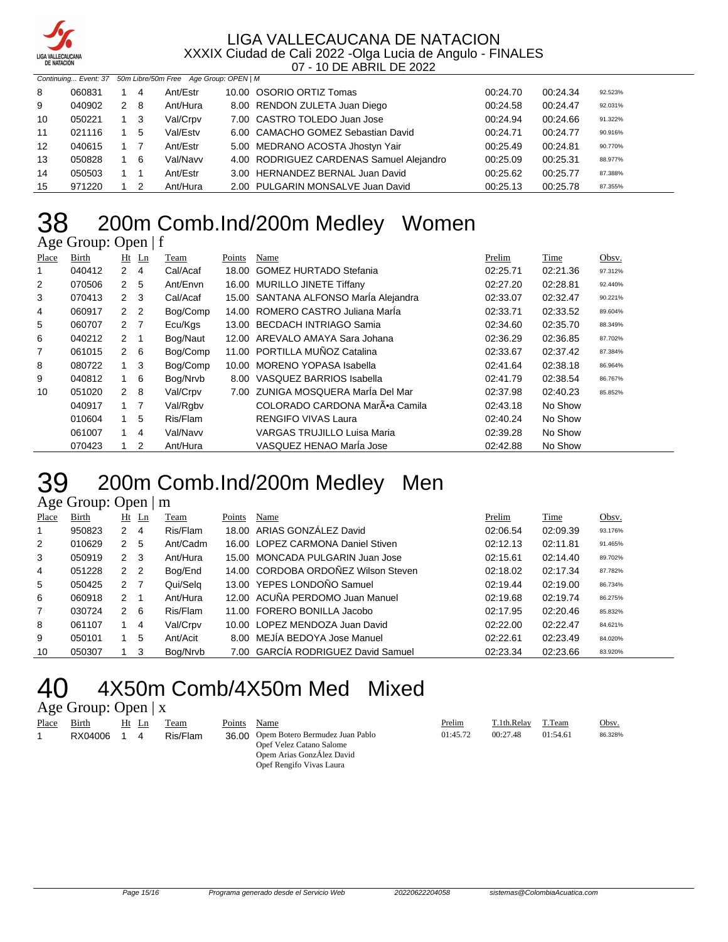

| <b>DE NATACION</b> |        |  |     |                                                             |                                          |          |          |         |
|--------------------|--------|--|-----|-------------------------------------------------------------|------------------------------------------|----------|----------|---------|
|                    |        |  |     | Continuing Event: 37 50m Libre/50m Free Age Group: OPEN   M |                                          |          |          |         |
| 8                  | 060831 |  | 14  | Ant/Estr                                                    | 10.00 OSORIO ORTIZ Tomas                 | 00:24.70 | 00:24.34 | 92.523% |
| 9                  | 040902 |  | 2 8 | Ant/Hura                                                    | 8.00 RENDON ZULETA Juan Diego            | 00:24.58 | 00:24.47 | 92.031% |
| 10                 | 050221 |  | 1 3 | Val/Crpv                                                    | 7.00 CASTRO TOLEDO Juan Jose             | 00:24.94 | 00:24.66 | 91.322% |
| 11                 | 021116 |  | 5   | Val/Estv                                                    | 6.00 CAMACHO GOMEZ Sebastian David       | 00:24.71 | 00:24.77 | 90.916% |
| 12                 | 040615 |  |     | Ant/Estr                                                    | 5.00 MEDRANO ACOSTA Jhostyn Yair         | 00:25.49 | 00:24.81 | 90.770% |
| 13                 | 050828 |  | - 6 | Val/Navv                                                    | 4.00 RODRIGUEZ CARDENAS Samuel Alejandro | 00:25.09 | 00:25.31 | 88.977% |
| 14                 | 050503 |  |     | Ant/Estr                                                    | 3.00 HERNANDEZ BERNAL Juan David         | 00:25.62 | 00:25.77 | 87.388% |
| 15                 | 971220 |  | -2  | Ant/Hura                                                    | 2.00 PULGARIN MONSALVE Juan David        | 00:25.13 | 00:25.78 | 87.355% |

# 200m Comb.Ind/200m Medley Women

Age Group: Open | f

| Place | Birth  | Ht             | Ln | Team     | Points | Name                                  | Prelim   | Time     | Obsv.   |
|-------|--------|----------------|----|----------|--------|---------------------------------------|----------|----------|---------|
| 1     | 040412 | $2 \quad 4$    |    | Cal/Acaf | 18.00  | <b>GOMEZ HURTADO Stefania</b>         | 02:25.71 | 02:21.36 | 97.312% |
| 2     | 070506 | 2 <sub>5</sub> |    | Ant/Envn |        | 16.00 MURILLO JINETE Tiffany          | 02:27.20 | 02:28.81 | 92.440% |
| 3     | 070413 | $2 \quad 3$    |    | Cal/Acaf |        | 15.00 SANTANA ALFONSO María Alejandra | 02:33.07 | 02:32.47 | 90.221% |
| 4     | 060917 | 2 <sub>2</sub> |    | Bog/Comp | 14.00  | ROMERO CASTRO Juliana Marla           | 02:33.71 | 02:33.52 | 89.604% |
| 5     | 060707 | 2 7            |    | Ecu/Kgs  | 13.00  | <b>BECDACH INTRIAGO Samia</b>         | 02:34.60 | 02:35.70 | 88.349% |
| 6     | 040212 | 2 1            |    | Bog/Naut | 12.00  | AREVALO AMAYA Sara Johana             | 02:36.29 | 02:36.85 | 87.702% |
| 7     | 061015 | $2 \quad 6$    |    | Bog/Comp | 11.00  | PORTILLA MUÑOZ Catalina               | 02:33.67 | 02:37.42 | 87.384% |
| 8     | 080722 | 1              | -3 | Bog/Comp | 10.00  | <b>MORENO YOPASA Isabella</b>         | 02:41.64 | 02:38.18 | 86.964% |
| 9     | 040812 | $1\quad 6$     |    | Bog/Nrvb | 8.00   | VASQUEZ BARRIOS Isabella              | 02:41.79 | 02:38.54 | 86.767% |
| 10    | 051020 | $2 \quad 8$    |    | Val/Crpv |        | 7.00 ZUNIGA MOSQUERA María Del Mar    | 02:37.98 | 02:40.23 | 85.852% |
|       | 040917 | 1 7            |    | Val/Rgby |        | COLORADO CARDONA MarÕa Camila         | 02:43.18 | No Show  |         |
|       | 010604 | $1 \quad$      | -5 | Ris/Flam |        | <b>RENGIFO VIVAS Laura</b>            | 02:40.24 | No Show  |         |
|       | 061007 |                | 4  | Val/Navv |        | <b>VARGAS TRUJILLO Luisa Maria</b>    | 02:39.28 | No Show  |         |
|       | 070423 |                | 2  | Ant/Hura |        | VASQUEZ HENAO María Jose              | 02:42.88 | No Show  |         |

### 200m Comb.Ind/200m Medley Men

### Age Group: Open | m

| Place | Birth  |                | $Ht$ Ln | Team     | Points | Name                                | Prelim   | Time     | Obsv.   |
|-------|--------|----------------|---------|----------|--------|-------------------------------------|----------|----------|---------|
|       | 950823 | 2              | 4       | Ris/Flam |        | 18.00 ARIAS GONZÁLEZ David          | 02:06.54 | 02:09.39 | 93.176% |
| 2     | 010629 | 2              | -5      | Ant/Cadm |        | 16.00 LOPEZ CARMONA Daniel Stiven   | 02:12.13 | 02:11.81 | 91.465% |
| 3     | 050919 | 2 <sub>3</sub> |         | Ant/Hura |        | 15.00 MONCADA PULGARIN Juan Jose    | 02:15.61 | 02:14.40 | 89.702% |
| 4     | 051228 | 2 <sub>2</sub> |         | Bog/End  |        | 14.00 CORDOBA ORDOÑEZ Wilson Steven | 02:18.02 | 02:17.34 | 87.782% |
| 5     | 050425 | 2 <sub>7</sub> |         | Qui/Selg |        | 13.00 YEPES LONDOÑO Samuel          | 02:19.44 | 02:19.00 | 86.734% |
| 6     | 060918 | $\mathcal{P}$  |         | Ant/Hura |        | 12.00 ACUÑA PERDOMO Juan Manuel     | 02:19.68 | 02:19.74 | 86.275% |
| 7     | 030724 | 2              | -6      | Ris/Flam |        | 11.00 FORERO BONILLA Jacobo         | 02:17.95 | 02:20.46 | 85.832% |
| 8     | 061107 |                | 4       | Val/Crpv |        | 10.00 LOPEZ MENDOZA Juan David      | 02:22.00 | 02:22.47 | 84.621% |
| 9     | 050101 |                | 5       | Ant/Acit |        | 8.00 MEJIA BEDOYA Jose Manuel       | 02:22.61 | 02:23.49 | 84.020% |
| 10    | 050307 |                | 3       | Bog/Nrvb |        | 7.00 GARCÍA RODRIGUEZ David Samuel  | 02:23.34 | 02:23.66 | 83.920% |
|       |        |                |         |          |        |                                     |          |          |         |

### 4X50m Comb/4X50m Med Mixed

| Place | Birth   | Ht | Ln | Team     | Points | Name                                                                                                                       | Prelim   | T.1th.Relay | T.Team   | Obsv.   |
|-------|---------|----|----|----------|--------|----------------------------------------------------------------------------------------------------------------------------|----------|-------------|----------|---------|
|       | RX04006 |    | 4  | Ris/Flam |        | 36.00 Opem Botero Bermudez Juan Pablo<br>Opef Velez Catano Salome<br>Opem Arias GonzÁlez David<br>Opef Rengifo Vivas Laura | 01:45.72 | 00:27.48    | 01:54.61 | 86.328% |